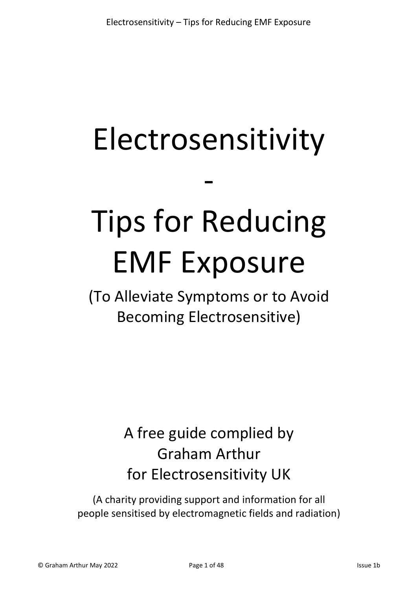## Electrosensitivity

-

# Tips for Reducing EMF Exposure

(To Alleviate Symptoms or to Avoid Becoming Electrosensitive)

## A free guide complied by Graham Arthur for Electrosensitivity UK

(A charity providing support and information for all people sensitised by electromagnetic fields and radiation)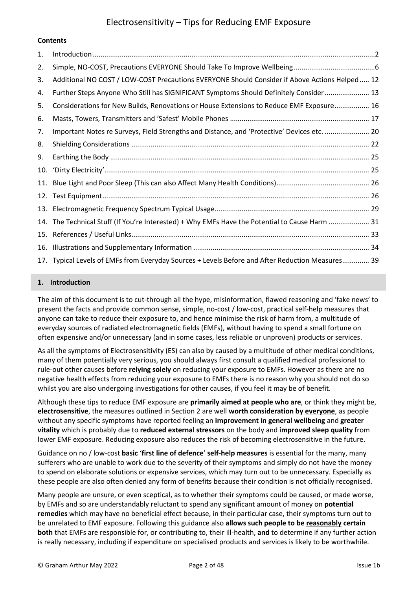### **Contents**

| 1.  |                                                                                                  |
|-----|--------------------------------------------------------------------------------------------------|
| 2.  |                                                                                                  |
| 3.  | Additional NO COST / LOW-COST Precautions EVERYONE Should Consider if Above Actions Helped  12   |
| 4.  | Further Steps Anyone Who Still has SIGNIFICANT Symptoms Should Definitely Consider 13            |
| 5.  | Considerations for New Builds, Renovations or House Extensions to Reduce EMF Exposure 16         |
| 6.  |                                                                                                  |
| 7.  | Important Notes re Surveys, Field Strengths and Distance, and 'Protective' Devices etc.  20      |
| 8.  |                                                                                                  |
| 9.  |                                                                                                  |
| 10. |                                                                                                  |
| 11. |                                                                                                  |
| 12. |                                                                                                  |
| 13. |                                                                                                  |
| 14. | The Technical Stuff (If You're Interested) + Why EMFs Have the Potential to Cause Harm  31       |
| 15. |                                                                                                  |
| 16. |                                                                                                  |
|     | 17. Typical Levels of EMFs from Everyday Sources + Levels Before and After Reduction Measures 39 |

#### <span id="page-1-0"></span>**1. Introduction**

The aim of this document is to cut-through all the hype, misinformation, flawed reasoning and 'fake news' to present the facts and provide common sense, simple, no-cost / low-cost, practical self-help measures that anyone can take to reduce their exposure to, and hence minimise the risk of harm from, a multitude of everyday sources of radiated electromagnetic fields (EMFs), without having to spend a small fortune on often expensive and/or unnecessary (and in some cases, less reliable or unproven) products or services.

As all the symptoms of Electrosensitivity (ES) can also by caused by a multitude of other medical conditions, many of them potentially very serious, you should always first consult a qualified medical professional to rule-out other causes before **relying solely** on reducing your exposure to EMFs. However as there are no negative health effects from reducing your exposure to EMFs there is no reason why you should not do so whilst you are also undergoing investigations for other causes, if you feel it may be of benefit.

Although these tips to reduce EMF exposure are **primarily aimed at people who are**, or think they might be, **electrosensitive**, the measures outlined in Section 2 are well **worth consideration by everyone**, as people without any specific symptoms have reported feeling an **improvement in general wellbeing** and **greater vitality** which is probably due to **reduced external stressors** on the body and **improved sleep quality** from lower EMF exposure. Reducing exposure also reduces the risk of becoming electrosensitive in the future.

Guidance on no / low-cost **basic** '**first line of defence**' **self-help measures** is essential for the many, many sufferers who are unable to work due to the severity of their symptoms and simply do not have the money to spend on elaborate solutions or expensive services, which may turn out to be unnecessary. Especially as these people are also often denied any form of benefits because their condition is not officially recognised.

Many people are unsure, or even sceptical, as to whether their symptoms could be caused, or made worse, by EMFs and so are understandably reluctant to spend any significant amount of money on **potential remedies** which may have no beneficial effect because, in their particular case, their symptoms turn out to be unrelated to EMF exposure. Following this guidance also **allows such people to be reasonably certain both** that EMFs are responsible for, or contributing to, their ill-health, **and** to determine if any further action is really necessary, including if expenditure on specialised products and services is likely to be worthwhile.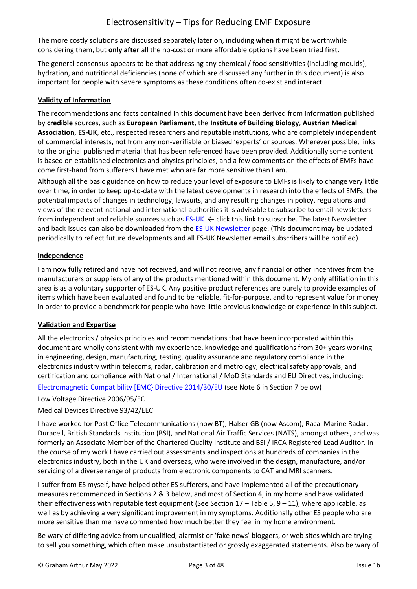The more costly solutions are discussed separately later on, including **when** it might be worthwhile considering them, but **only after** all the no-cost or more affordable options have been tried first.

The general consensus appears to be that addressing any chemical / food sensitivities (including moulds), hydration, and nutritional deficiencies (none of which are discussed any further in this document) is also important for people with severe symptoms as these conditions often co-exist and interact.

## **Validity of Information**

The recommendations and facts contained in this document have been derived from information published by **credible** sources, such as **European Parliament**, the **Institute of Building Biology**, **Austrian Medical Association**, **ES-UK**, etc., respected researchers and reputable institutions, who are completely independent of commercial interests, not from any non-verifiable or biased 'experts' or sources. Wherever possible, links to the original published material that has been referenced have been provided. Additionally some content is based on established electronics and physics principles, and a few comments on the effects of EMFs have come first-hand from sufferers I have met who are far more sensitive than I am.

Although all the basic guidance on how to reduce your level of exposure to EMFs is likely to change very little over time, in order to keep up-to-date with the latest developments in research into the effects of EMFs, the potential impacts of changes in technology, lawsuits, and any resulting changes in policy, regulations and views of the relevant national and international authorities it is advisable to subscribe to email newsletters from independent and reliable sources such as  $ES-UK \leftarrow$  click this link to subscribe. The latest Newsletter and back-issues can also be downloaded from th[e ES-UK Newsletter](https://www.es-uk.info/newsletters/) page. (This document may be updated periodically to reflect future developments and all ES-UK Newsletter email subscribers will be notified)

## **Independence**

I am now fully retired and have not received, and will not receive, any financial or other incentives from the manufacturers or suppliers of any of the products mentioned within this document. My only affiliation in this area is as a voluntary supporter of ES-UK. Any positive product references are purely to provide examples of items which have been evaluated and found to be reliable, fit-for-purpose, and to represent value for money in order to provide a benchmark for people who have little previous knowledge or experience in this subject.

## **Validation and Expertise**

All the electronics / physics principles and recommendations that have been incorporated within this document are wholly consistent with my experience, knowledge and qualifications from 30+ years working in engineering, design, manufacturing, testing, quality assurance and regulatory compliance in the electronics industry within telecoms, radar, calibration and metrology, electrical safety approvals, and certification and compliance with National / International / MoD Standards and EU Directives, including:

[Electromagnetic Compatibility \[EMC} Directive 2014/30/EU](http://ec.europa.eu/growth/sectors/electrical-engineering/emc-directive_en) (see Note 6 in Section 7 below)

Low Voltage Directive 2006/95/EC

Medical Devices Directive 93/42/EEC

I have worked for Post Office Telecommunications (now BT), Halser GB (now Ascom), Racal Marine Radar, Duracell, British Standards Institution (BSI), and National Air Traffic Services (NATS), amongst others, and was formerly an Associate Member of the Chartered Quality Institute and BSI / IRCA Registered Lead Auditor. In the course of my work I have carried out assessments and inspections at hundreds of companies in the electronics industry, both in the UK and overseas, who were involved in the design, manufacture, and/or servicing of a diverse range of products from electronic components to CAT and MRI scanners.

I suffer from ES myself, have helped other ES sufferers, and have implemented all of the precautionary measures recommended in Sections 2 & 3 below, and most of Section 4, in my home and have validated their effectiveness with reputable test equipment (See Section  $17 -$  Table 5,  $9 - 11$ ), where applicable, as well as by achieving a very significant improvement in my symptoms. Additionally other ES people who are more sensitive than me have commented how much better they feel in my home environment.

Be wary of differing advice from unqualified, alarmist or 'fake news' bloggers, or web sites which are trying to sell you something, which often make unsubstantiated or grossly exaggerated statements. Also be wary of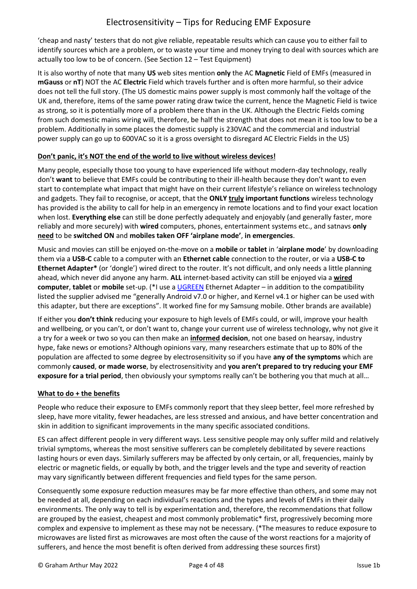'cheap and nasty' testers that do not give reliable, repeatable results which can cause you to either fail to identify sources which are a problem, or to waste your time and money trying to deal with sources which are actually too low to be of concern. (See Section 12 – Test Equipment)

It is also worthy of note that many **US** web sites mention **only** the AC **Magnetic** Field of EMFs (measured in **mGauss** or **nT**) NOT the AC **Electric** Field which travels further and is often more harmful, so their advice does not tell the full story. (The US domestic mains power supply is most commonly half the voltage of the UK and, therefore, items of the same power rating draw twice the current, hence the Magnetic Field is twice as strong, so it is potentially more of a problem there than in the UK. Although the Electric Fields coming from such domestic mains wiring will, therefore, be half the strength that does not mean it is too low to be a problem. Additionally in some places the domestic supply is 230VAC and the commercial and industrial power supply can go up to 600VAC so it is a gross oversight to disregard AC Electric Fields in the US)

## **Don't panic, it's NOT the end of the world to live without wireless devices!**

Many people, especially those too young to have experienced life without modern-day technology, really don't **want** to believe that EMFs could be contributing to their ill-health because they don't want to even start to contemplate what impact that might have on their current lifestyle's reliance on wireless technology and gadgets. They fail to recognise, or accept, that the **ONLY truly important functions** wireless technology has provided is the ability to call for help in an emergency in remote locations and to find your exact location when lost. **Everything else** can still be done perfectly adequately and enjoyably (and generally faster, more reliably and more securely) with **wired** computers, phones, entertainment systems etc., and satnavs **only need** to be **switched ON** and **mobiles taken OFF 'airplane mode'**, **in emergencies**.

Music and movies can still be enjoyed on-the-move on a **mobile** or **tablet** in '**airplane mode**' by downloading them via a **USB-C** cable to a computer with an **Ethernet cable** connection to the router, or via a **USB-C to Ethernet Adapter\*** (or 'dongle') wired direct to the router. It's not difficult, and only needs a little planning ahead, which never did anyone any harm. **ALL** internet-based activity can still be enjoyed via a **wired computer**, **tablet** or **mobile** set-up. (\*I use a [UGREEN](https://www.amazon.co.uk/gp/product/B07M8GSLQB/ref=ppx_yo_dt_b_asin_title_o02_s00?ie=UTF8&psc=1) Ethernet Adapter – in addition to the compatibility listed the supplier advised me "generally Android v7.0 or higher, and Kernel v4.1 or higher can be used with this adapter, but there are exceptions". It worked fine for my Samsung mobile. Other brands are available)

If either you **don't think** reducing your exposure to high levels of EMFs could, or will, improve your health and wellbeing, or you can't, or don't want to, change your current use of wireless technology, why not give it a try for a week or two so you can then make an **informed decision**, not one based on hearsay, industry hype, fake news or emotions? Although opinions vary, many researchers estimate that up to 80% of the population are affected to some degree by electrosensitivity so if you have **any of the symptoms** which are commonly **caused**, **or made worse**, by electrosensitivity and **you aren't prepared to try reducing your EMF exposure for a trial period**, then obviously your symptoms really can't be bothering you that much at all…

## **What to do + the benefits**

People who reduce their exposure to EMFs commonly report that they sleep better, feel more refreshed by sleep, have more vitality, fewer headaches, are less stressed and anxious, and have better concentration and skin in addition to significant improvements in the many specific associated conditions.

ES can affect different people in very different ways. Less sensitive people may only suffer mild and relatively trivial symptoms, whereas the most sensitive sufferers can be completely debilitated by severe reactions lasting hours or even days. Similarly sufferers may be affected by only certain, or all, frequencies, mainly by electric or magnetic fields, or equally by both, and the trigger levels and the type and severity of reaction may vary significantly between different frequencies and field types for the same person.

Consequently some exposure reduction measures may be far more effective than others, and some may not be needed at all, depending on each individual's reactions and the types and levels of EMFs in their daily environments. The only way to tell is by experimentation and, therefore, the recommendations that follow are grouped by the easiest, cheapest and most commonly problematic\* first, progressively becoming more complex and expensive to implement as these may not be necessary. (\*The measures to reduce exposure to microwaves are listed first as microwaves are most often the cause of the worst reactions for a majority of sufferers, and hence the most benefit is often derived from addressing these sources first)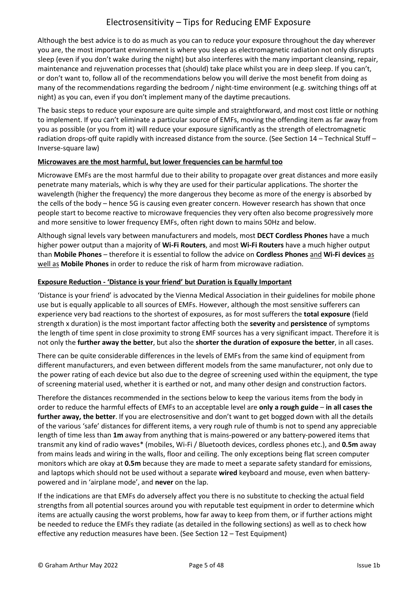Although the best advice is to do as much as you can to reduce your exposure throughout the day wherever you are, the most important environment is where you sleep as electromagnetic radiation not only disrupts sleep (even if you don't wake during the night) but also interferes with the many important cleansing, repair, maintenance and rejuvenation processes that (should) take place whilst you are in deep sleep. If you can't, or don't want to, follow all of the recommendations below you will derive the most benefit from doing as many of the recommendations regarding the bedroom / night-time environment (e.g. switching things off at night) as you can, even if you don't implement many of the daytime precautions.

The basic steps to reduce your exposure are quite simple and straightforward, and most cost little or nothing to implement. If you can't eliminate a particular source of EMFs, moving the offending item as far away from you as possible (or you from it) will reduce your exposure significantly as the strength of electromagnetic radiation drops-off quite rapidly with increased distance from the source. (See Section 14 – Technical Stuff – Inverse-square law)

## **Microwaves are the most harmful, but lower frequencies can be harmful too**

Microwave EMFs are the most harmful due to their ability to propagate over great distances and more easily penetrate many materials, which is why they are used for their particular applications. The shorter the wavelength (higher the frequency) the more dangerous they become as more of the energy is absorbed by the cells of the body – hence 5G is causing even greater concern. However research has shown that once people start to become reactive to microwave frequencies they very often also become progressively more and more sensitive to lower frequency EMFs, often right down to mains 50Hz and below.

Although signal levels vary between manufacturers and models, most **DECT Cordless Phones** have a much higher power output than a majority of **Wi-Fi Routers**, and most **Wi-Fi Routers** have a much higher output than **Mobile Phones** – therefore it is essential to follow the advice on **Cordless Phones** and **Wi-Fi devices** as well as **Mobile Phones** in order to reduce the risk of harm from microwave radiation.

### **Exposure Reduction - 'Distance is your friend' but Duration is Equally Important**

'Distance is your friend' is advocated by the Vienna Medical Association in their guidelines for mobile phone use but is equally applicable to all sources of EMFs. However, although the most sensitive sufferers can experience very bad reactions to the shortest of exposures, as for most sufferers the **total exposure** (field strength x duration) is the most important factor affecting both the **severity** and **persistence** of symptoms the length of time spent in close proximity to strong EMF sources has a very significant impact. Therefore it is not only the **further away the better**, but also the **shorter the duration of exposure the better**, in all cases.

There can be quite considerable differences in the levels of EMFs from the same kind of equipment from different manufacturers, and even between different models from the same manufacturer, not only due to the power rating of each device but also due to the degree of screening used within the equipment, the type of screening material used, whether it is earthed or not, and many other design and construction factors.

Therefore the distances recommended in the sections below to keep the various items from the body in order to reduce the harmful effects of EMFs to an acceptable level are **only a rough guide** – **in all cases the further away, the better**. If you are electrosensitive and don't want to get bogged down with all the details of the various 'safe' distances for different items, a very rough rule of thumb is not to spend any appreciable length of time less than **1m** away from anything that is mains-powered or any battery-powered items that transmit any kind of radio waves\* (mobiles, Wi-Fi / Bluetooth devices, cordless phones etc.), and **0.5m** away from mains leads and wiring in the walls, floor and ceiling. The only exceptions being flat screen computer monitors which are okay at **0.5m** because they are made to meet a separate safety standard for emissions, and laptops which should not be used without a separate **wired** keyboard and mouse, even when batterypowered and in 'airplane mode', and **never** on the lap.

If the indications are that EMFs do adversely affect you there is no substitute to checking the actual field strengths from all potential sources around you with reputable test equipment in order to determine which items are actually causing the worst problems, how far away to keep from them, or if further actions might be needed to reduce the EMFs they radiate (as detailed in the following sections) as well as to check how effective any reduction measures have been. (See Section 12 – Test Equipment)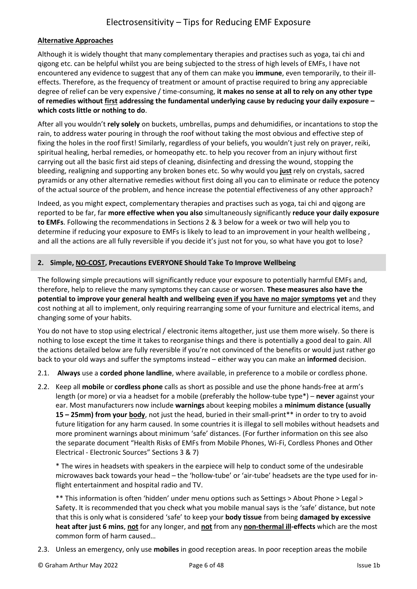## **Alternative Approaches**

Although it is widely thought that many complementary therapies and practises such as yoga, tai chi and qigong etc. can be helpful whilst you are being subjected to the stress of high levels of EMFs, I have not encountered any evidence to suggest that any of them can make you **immune**, even temporarily, to their illeffects. Therefore, as the frequency of treatment or amount of practise required to bring any appreciable degree of relief can be very expensive / time-consuming, **it makes no sense at all to rely on any other type of remedies without first addressing the fundamental underlying cause by reducing your daily exposure – which costs little or nothing to do**.

After all you wouldn't **rely solely** on buckets, umbrellas, pumps and dehumidifies, or incantations to stop the rain, to address water pouring in through the roof without taking the most obvious and effective step of fixing the holes in the roof first! Similarly, regardless of your beliefs, you wouldn't just rely on prayer, reiki, spiritual healing, herbal remedies, or homeopathy etc. to help you recover from an injury without first carrying out all the basic first aid steps of cleaning, disinfecting and dressing the wound, stopping the bleeding, realigning and supporting any broken bones etc. So why would you **just** rely on crystals, sacred pyramids or any other alternative remedies without first doing all you can to eliminate or reduce the potency of the actual source of the problem, and hence increase the potential effectiveness of any other approach?

Indeed, as you might expect, complementary therapies and practises such as yoga, tai chi and qigong are reported to be far, far **more effective when you also** simultaneously significantly **reduce your daily exposure to EMFs**. Following the recommendations in Sections 2 & 3 below for a week or two will help you to determine if reducing your exposure to EMFs is likely to lead to an improvement in your health wellbeing , and all the actions are all fully reversible if you decide it's just not for you, so what have you got to lose?

### <span id="page-5-0"></span>**2. Simple, NO-COST, Precautions EVERYONE Should Take To Improve Wellbeing**

The following simple precautions will significantly reduce your exposure to potentially harmful EMFs and, therefore, help to relieve the many symptoms they can cause or worsen. **These measures also have the potential to improve your general health and wellbeing even if you have no major symptoms yet** and they cost nothing at all to implement, only requiring rearranging some of your furniture and electrical items, and changing some of your habits.

You do not have to stop using electrical / electronic items altogether, just use them more wisely. So there is nothing to lose except the time it takes to reorganise things and there is potentially a good deal to gain. All the actions detailed below are fully reversible if you're not convinced of the benefits or would just rather go back to your old ways and suffer the symptoms instead – either way you can make an **informed** decision.

- 2.1. **Always** use a **corded phone landline**, where available, in preference to a mobile or cordless phone.
- 2.2. Keep all **mobile** or **cordless phone** calls as short as possible and use the phone hands-free at arm's length (or more) or via a headset for a mobile (preferably the hollow-tube type\*) – **never** against your ear. Most manufacturers now include **warnings** about keeping mobiles a **minimum distance (usually 15 – 25mm) from your body**, not just the head, buried in their small-print\*\* in order to try to avoid future litigation for any harm caused. In some countries it is illegal to sell mobiles without headsets and more prominent warnings about minimum 'safe' distances. (For further information on this see also the separate document "Health Risks of EMFs from Mobile Phones, Wi-Fi, Cordless Phones and Other Electrical - Electronic Sources" Sections 3 & 7)

\* The wires in headsets with speakers in the earpiece will help to conduct some of the undesirable microwaves back towards your head – the 'hollow-tube' or 'air-tube' headsets are the type used for inflight entertainment and hospital radio and TV.

\*\* This information is often 'hidden' under menu options such as Settings > About Phone > Legal > Safety. It is recommended that you check what you mobile manual says is the 'safe' distance, but note that this is only what is considered 'safe' to keep your **body tissue** from being **damaged by excessive heat after just 6 mins**, **not** for any longer, and **not** from any **non-thermal ill-effects** which are the most common form of harm caused…

2.3. Unless an emergency, only use **mobiles** in good reception areas. In poor reception areas the mobile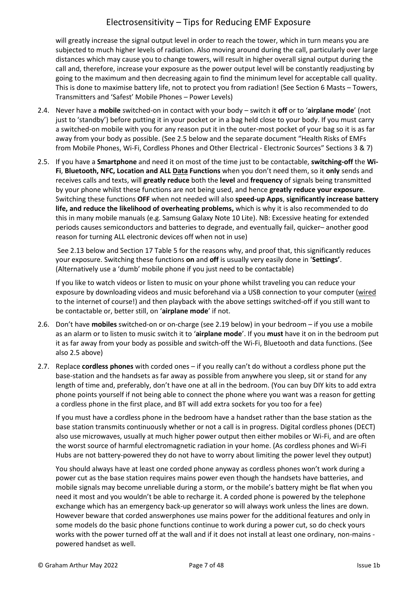will greatly increase the signal output level in order to reach the tower, which in turn means you are subjected to much higher levels of radiation. Also moving around during the call, particularly over large distances which may cause you to change towers, will result in higher overall signal output during the call and, therefore, increase your exposure as the power output level will be constantly readjusting by going to the maximum and then decreasing again to find the minimum level for acceptable call quality. This is done to maximise battery life, not to protect you from radiation! (See Section 6 Masts – Towers, Transmitters and 'Safest' Mobile Phones – Power Levels)

- 2.4. Never have a **mobile** switched-on in contact with your body switch it **off** or to '**airplane mode**' (not just to 'standby') before putting it in your pocket or in a bag held close to your body. If you must carry a switched-on mobile with you for any reason put it in the outer-most pocket of your bag so it is as far away from your body as possible. (See 2.5 below and the separate document "Health Risks of EMFs from Mobile Phones, Wi-Fi, Cordless Phones and Other Electrical - Electronic Sources" Sections 3 & 7)
- 2.5. If you have a **Smartphone** and need it on most of the time just to be contactable, **switching-off** the **Wi-Fi**, **Bluetooth, NFC, Location and ALL Data Functions** when you don't need them, so it **only** sends and receives calls and texts, will **greatly reduce** both the **level** and **frequency** of signals being transmitted by your phone whilst these functions are not being used, and hence **greatly reduce your exposure**. Switching these functions **OFF** when not needed will also **speed-up Apps**, **significantly increase battery life, and reduce the likelihood of overheating problems,** which is why it is also recommended to do this in many mobile manuals (e.g. Samsung Galaxy Note 10 Lite). NB: Excessive heating for extended periods causes semiconductors and batteries to degrade, and eventually fail, quicker– another good reason for turning ALL electronic devices off when not in use)

See 2.13 below and Section 17 Table 5 for the reasons why, and proof that, this significantly reduces your exposure. Switching these functions **on** and **off** is usually very easily done in '**Settings'**. (Alternatively use a 'dumb' mobile phone if you just need to be contactable)

If you like to watch videos or listen to music on your phone whilst traveling you can reduce your exposure by downloading videos and music beforehand via a USB connection to your computer (wired to the internet of course!) and then playback with the above settings switched-off if you still want to be contactable or, better still, on '**airplane mode**' if not.

- 2.6. Don't have **mobiles** switched-on or on-charge (see 2.19 below) in your bedroom if you use a mobile as an alarm or to listen to music switch it to '**airplane mode**'. If you **must** have it on in the bedroom put it as far away from your body as possible and switch-off the Wi-Fi, Bluetooth and data functions. (See also 2.5 above)
- 2.7. Replace **cordless phones** with corded ones if you really can't do without a cordless phone put the base-station and the handsets as far away as possible from anywhere you sleep, sit or stand for any length of time and, preferably, don't have one at all in the bedroom. (You can buy DIY kits to add extra phone points yourself if not being able to connect the phone where you want was a reason for getting a cordless phone in the first place, and BT will add extra sockets for you too for a fee)

If you must have a cordless phone in the bedroom have a handset rather than the base station as the base station transmits continuously whether or not a call is in progress. Digital cordless phones (DECT) also use microwaves, usually at much higher power output then either mobiles or Wi-Fi, and are often the worst source of harmful electromagnetic radiation in your home. (As cordless phones and Wi-Fi Hubs are not battery-powered they do not have to worry about limiting the power level they output)

You should always have at least one corded phone anyway as cordless phones won't work during a power cut as the base station requires mains power even though the handsets have batteries, and mobile signals may become unreliable during a storm, or the mobile's battery might be flat when you need it most and you wouldn't be able to recharge it. A corded phone is powered by the telephone exchange which has an emergency back-up generator so will always work unless the lines are down. However beware that corded answerphones use mains power for the additional features and only in some models do the basic phone functions continue to work during a power cut, so do check yours works with the power turned off at the wall and if it does not install at least one ordinary, non-mains powered handset as well.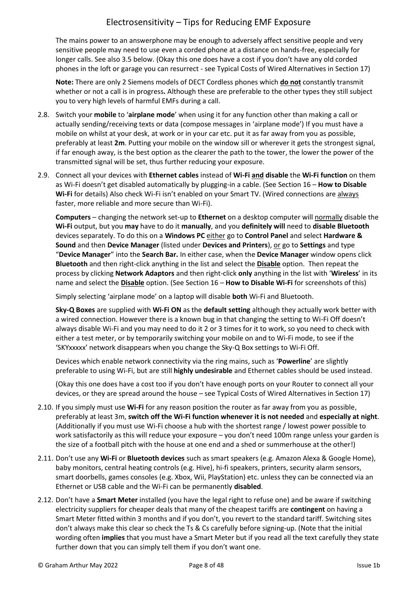The mains power to an answerphone may be enough to adversely affect sensitive people and very sensitive people may need to use even a corded phone at a distance on hands-free, especially for longer calls. See also 3.5 below. (Okay this one does have a cost if you don't have any old corded phones in the loft or garage you can resurrect - see Typical Costs of Wired Alternatives in Section 17)

**Note:** There are only 2 Siemens models of DECT Cordless phones which **do not** constantly transmit whether or not a call is in progress**.** Although these are preferable to the other types they still subject you to very high levels of harmful EMFs during a call.

- 2.8. Switch your **mobile** to '**airplane mode**' when using it for any function other than making a call or actually sending/receiving texts or data (compose messages in 'airplane mode') If you must have a mobile on whilst at your desk, at work or in your car etc. put it as far away from you as possible, preferably at least **2m**. Putting your mobile on the window sill or wherever it gets the strongest signal, if far enough away, is the best option as the clearer the path to the tower, the lower the power of the transmitted signal will be set, thus further reducing your exposure.
- 2.9. Connect all your devices with **Ethernet cables** instead of **Wi-Fi and disable** the **Wi-Fi function** on them as Wi-Fi doesn't get disabled automatically by plugging-in a cable. (See Section 16 – **How to Disable Wi-Fi** for details) Also check Wi-Fi isn't enabled on your Smart TV. (Wired connections are always faster, more reliable and more secure than Wi-Fi).

**Computers** – changing the network set-up to **Ethernet** on a desktop computer will normally disable the **Wi-Fi** output, but you **may** have to do it **manually**, and you **definitely will** need to **disable Bluetooth** devices separately. To do this on a **Windows PC** either go to **Control Panel** and select **Hardware & Sound** and then **Device Manager** (listed under **Devices and Printers**), or go to **Settings** and type "**Device Manager**" into the **Search Bar.** In either case, when the **Device Manager** window opens click **Bluetooth** and then right-click anything in the list and select the **Disable** option. Then repeat the process by clicking **Network Adaptors** and then right-click **only** anything in the list with '**Wireless**' in its name and select the **Disable** option. (See Section 16 – **How to Disable Wi-Fi** for screenshots of this)

Simply selecting 'airplane mode' on a laptop will disable **both** Wi-Fi and Bluetooth.

**Sky-Q Boxes** are supplied with **Wi-Fi ON** as the **default setting** although they actually work better with a wired connection. However there is a known bug in that changing the setting to Wi-Fi Off doesn't always disable Wi-Fi and you may need to do it 2 or 3 times for it to work, so you need to check with either a test meter, or by temporarily switching your mobile on and to Wi-Fi mode, to see if the 'SKYxxxxx' network disappears when you change the Sky-Q Box settings to Wi-Fi Off.

Devices which enable network connectivity via the ring mains, such as '**Powerline**' are slightly preferable to using Wi-Fi, but are still **highly undesirable** and Ethernet cables should be used instead.

(Okay this one does have a cost too if you don't have enough ports on your Router to connect all your devices, or they are spread around the house – see Typical Costs of Wired Alternatives in Section 17)

- 2.10. If you simply must use **Wi-Fi** for any reason position the router as far away from you as possible, preferably at least 3m, **switch off the Wi-Fi function whenever it is not needed** and **especially at night**. (Additionally if you must use Wi-Fi choose a hub with the shortest range / lowest power possible to work satisfactorily as this will reduce your exposure – you don't need 100m range unless your garden is the size of a football pitch with the house at one end and a shed or summerhouse at the other!)
- 2.11. Don't use any **Wi-Fi** or **Bluetooth devices** such as smart speakers (e.g. Amazon Alexa & Google Home), baby monitors, central heating controls (e.g. Hive), hi-fi speakers, printers, security alarm sensors, smart doorbells, games consoles (e.g. Xbox, Wii, PlayStation) etc. unless they can be connected via an Ethernet or USB cable and the Wi-Fi can be permanently **disabled**.
- 2.12. Don't have a **Smart Meter** installed (you have the legal right to refuse one) and be aware if switching electricity suppliers for cheaper deals that many of the cheapest tariffs are **contingent** on having a Smart Meter fitted within 3 months and if you don't, you revert to the standard tariff. Switching sites don't always make this clear so check the Ts & Cs carefully before signing-up. (Note that the initial wording often **implies** that you must have a Smart Meter but if you read all the text carefully they state further down that you can simply tell them if you don't want one.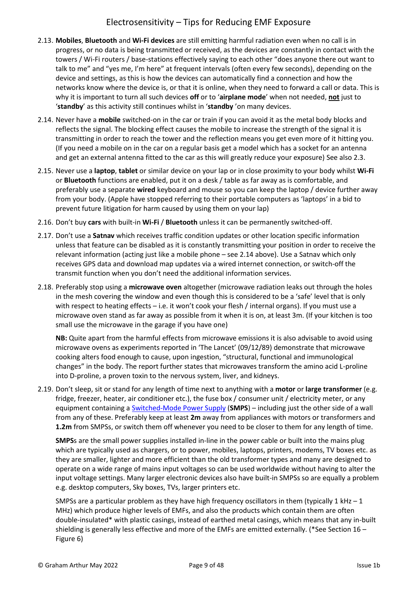- 2.13. **Mobiles**, **Bluetooth** and **Wi-Fi devices** are still emitting harmful radiation even when no call is in progress, or no data is being transmitted or received, as the devices are constantly in contact with the towers / Wi-Fi routers / base-stations effectively saying to each other "does anyone there out want to talk to me" and "yes me, I'm here" at frequent intervals (often every few seconds), depending on the device and settings, as this is how the devices can automatically find a connection and how the networks know where the device is, or that it is online, when they need to forward a call or data. This is why it is important to turn all such devices **off** or to '**airplane mode**' when not needed, **not** just to '**standby**' as this activity still continues whilst in '**standby** 'on many devices.
- 2.14. Never have a **mobile** switched-on in the car or train if you can avoid it as the metal body blocks and reflects the signal. The blocking effect causes the mobile to increase the strength of the signal it is transmitting in order to reach the tower and the reflection means you get even more of it hitting you. (If you need a mobile on in the car on a regular basis get a model which has a socket for an antenna and get an external antenna fitted to the car as this will greatly reduce your exposure) See also 2.3.
- 2.15. Never use a **laptop**, **tablet** or similar device on your lap or in close proximity to your body whilst **Wi-Fi** or **Bluetooth** functions are enabled, put it on a desk / table as far away as is comfortable, and preferably use a separate **wired** keyboard and mouse so you can keep the laptop / device further away from your body. (Apple have stopped referring to their portable computers as 'laptops' in a bid to prevent future litigation for harm caused by using them on your lap)
- 2.16. Don't buy **cars** with built-in **Wi-Fi** / **Bluetooth** unless it can be permanently switched-off.
- 2.17. Don't use a **Satnav** which receives traffic condition updates or other location specific information unless that feature can be disabled as it is constantly transmitting your position in order to receive the relevant information (acting just like a mobile phone – see 2.14 above). Use a Satnav which only receives GPS data and download map updates via a wired internet connection, or switch-off the transmit function when you don't need the additional information services.
- 2.18. Preferably stop using a **microwave oven** altogether (microwave radiation leaks out through the holes in the mesh covering the window and even though this is considered to be a 'safe' level that is only with respect to heating effects – i.e. it won't cook your flesh / internal organs). If you must use a microwave oven stand as far away as possible from it when it is on, at least 3m. (If your kitchen is too small use the microwave in the garage if you have one)

**NB:** Quite apart from the harmful effects from microwave emissions it is also advisable to avoid using microwave ovens as experiments reported in 'The Lancet' (09/12/89) demonstrate that microwave cooking alters food enough to cause, upon ingestion, "structural, functional and immunological changes" in the body. The report further states that microwaves transform the amino acid L-proline into D-proline, a proven toxin to the nervous system, liver, and kidneys.

2.19. Don't sleep, sit or stand for any length of time next to anything with a **motor** or **large transformer** (e.g. fridge, freezer, heater, air conditioner etc.), the fuse box / consumer unit / electricity meter, or any equipment containing a [Switched-Mode Power Supply](https://en.wikipedia.org/wiki/Switched-mode_power_supply) (**SMPS**) – including just the other side of a wall from any of these. Preferably keep at least **2m** away from appliances with motors or transformers and **1.2m** from SMPSs, or switch them off whenever you need to be closer to them for any length of time.

**SMPS**s are the small power supplies installed in-line in the power cable or built into the mains plug which are typically used as chargers, or to power, mobiles, laptops, printers, modems, TV boxes etc. as they are smaller, lighter and more efficient than the old transformer types and many are designed to operate on a wide range of mains input voltages so can be used worldwide without having to alter the input voltage settings. Many larger electronic devices also have built-in SMPSs so are equally a problem e.g. desktop computers, Sky boxes, TVs, larger printers etc.

SMPSs are a particular problem as they have high frequency oscillators in them (typically 1 kHz  $-1$ ) MHz) which produce higher levels of EMFs, and also the products which contain them are often double-insulated\* with plastic casings, instead of earthed metal casings, which means that any in-built shielding is generally less effective and more of the EMFs are emitted externally. (\*See Section 16 – Figure 6)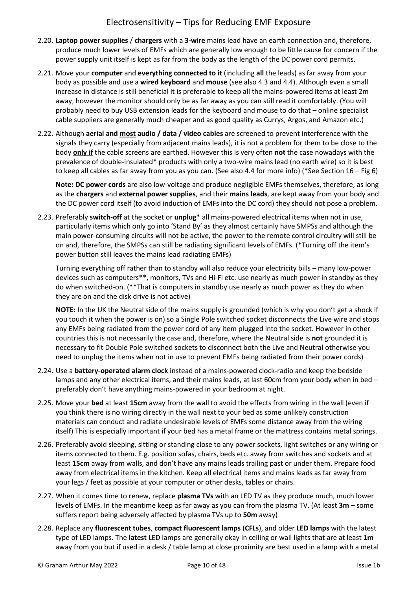- 2.20. **Laptop power supplies** / **chargers** with a **3-wire** mains lead have an earth connection and, therefore, produce much lower levels of EMFs which are generally low enough to be little cause for concern if the power supply unit itself is kept as far from the body as the length of the DC power cord permits.
- 2.21. Move your **computer** and **everything connected to it** (including **all** the leads) as far away from your body as possible and use a **wired keyboard** and **mouse** (see also 4.3 and 4.4). Although even a small increase in distance is still beneficial it is preferable to keep all the mains-powered items at least 2m away, however the monitor should only be as far away as you can still read it comfortably. (You will probably need to buy USB extension leads for the keyboard and mouse to do that – online specialist cable suppliers are generally much cheaper and as good quality as Currys, Argos, and Amazon etc.)
- 2.22. Although **aerial and most audio / data / video cables** are screened to prevent interference with the signals they carry (especially from adjacent mains leads), it is not a problem for them to be close to the body **only if** the cable screens are earthed. However this is very often **not** the case nowadays with the prevalence of double-insulated\* products with only a two-wire mains lead (no earth wire) so it is best to keep all cables as far away from you as you can. (See also 4.4 for more info) (\*See Section 16 – Fig 6)

**Note: DC power cords** are also low-voltage and produce negligible EMFs themselves, therefore, as long as the **chargers** and **external power supplies**, and their **mains leads**, are kept away from your body and the DC power cord itself (to avoid induction of EMFs into the DC cord) they should not pose a problem.

2.23. Preferably **switch-off** at the socket or **unplug**\* all mains-powered electrical items when not in use, particularly items which only go into 'Stand By' as they almost certainly have SMPSs and although the main power-consuming circuits will not be active, the power to the remote control circuitry will still be on and, therefore, the SMPSs can still be radiating significant levels of EMFs. (\*Turning off the item's power button still leaves the mains lead radiating EMFs)

Turning everything off rather than to standby will also reduce your electricity bills – many low-power devices such as computers\*\*, monitors, TVs and Hi-Fi etc. use nearly as much power in standby as they do when switched-on. (\*\*That is computers in standby use nearly as much power as they do when they are on and the disk drive is not active)

**NOTE:** In the UK the Neutral side of the mains supply is grounded (which is why you don't get a shock if you touch it when the power is on) so a Single Pole switched socket disconnects the Live wire and stops any EMFs being radiated from the power cord of any item plugged into the socket. However in other countries this is not necessarily the case and, therefore, where the Neutral side is **not** grounded it is necessary to fit Double Pole switched sockets to disconnect both the Live and Neutral otherwise you need to unplug the items when not in use to prevent EMFs being radiated from their power cords)

- 2.24. Use a **battery-operated alarm clock** instead of a mains-powered clock-radio and keep the bedside lamps and any other electrical items, and their mains leads, at last 60cm from your body when in bed – preferably don't have anything mains-powered in your bedroom at night.
- 2.25. Move your **bed** at least **15cm** away from the wall to avoid the effects from wiring in the wall (even if you think there is no wiring directly in the wall next to your bed as some unlikely construction materials can conduct and radiate undesirable levels of EMFs some distance away from the wiring itself) This is especially important if your bed has a metal frame or the mattress contains metal springs.
- 2.26. Preferably avoid sleeping, sitting or standing close to any power sockets, light switches or any wiring or items connected to them. E.g. position sofas, chairs, beds etc. away from switches and sockets and at least **15cm** away from walls, and don't have any mains leads trailing past or under them. Prepare food away from electrical items in the kitchen. Keep all electrical items and mains leads as far away from your legs / feet as possible at your computer or other desks, tables or chairs.
- 2.27. When it comes time to renew, replace **plasma TVs** with an LED TV as they produce much, much lower levels of EMFs. In the meantime keep as far away as you can from the plasma TV. (At least **3m** – some suffers report being adversely affected by plasma TVs up to **50m** away)
- 2.28. Replace any **fluorescent tubes**, **compact fluorescent lamps** (**CFLs**), and older **LED lamps** with the latest type of LED lamps. The **latest** LED lamps are generally okay in ceiling or wall lights that are at least **1m** away from you but if used in a desk / table lamp at close proximity are best used in a lamp with a metal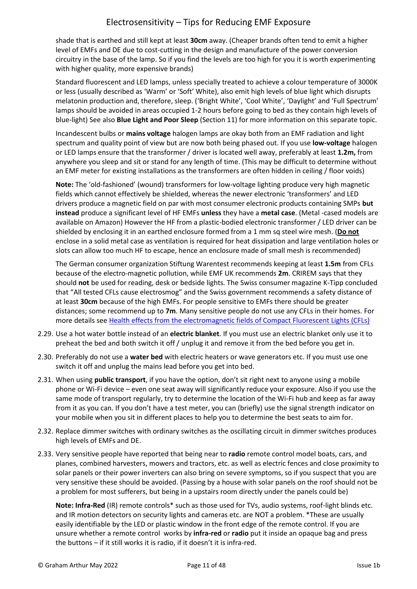shade that is earthed and still kept at least **30cm** away. (Cheaper brands often tend to emit a higher level of EMFs and DE due to cost-cutting in the design and manufacture of the power conversion circuitry in the base of the lamp. So if you find the levels are too high for you it is worth experimenting with higher quality, more expensive brands)

Standard fluorescent and LED lamps, unless specially treated to achieve a colour temperature of 3000K or less (usually described as 'Warm' or 'Soft' White), also emit high levels of blue light which disrupts melatonin production and, therefore, sleep. ('Bright White', 'Cool White', 'Daylight' and 'Full Spectrum' lamps should be avoided in areas occupied 1-2 hours before going to bed as they contain high levels of blue-light) See also **Blue Light and Poor Sleep** (Section 11) for more information on this separate topic.

Incandescent bulbs or **mains voltage** halogen lamps are okay both from an EMF radiation and light spectrum and quality point of view but are now both being phased out. If you use **low-voltage** halogen or LED lamps ensure that the transformer / driver is located well away, preferably at least **1.2m,** from anywhere you sleep and sit or stand for any length of time. (This may be difficult to determine without an EMF meter for existing installations as the transformers are often hidden in ceiling / floor voids)

**Note:** The 'old-fashioned' (wound) transformers for low-voltage lighting produce very high magnetic fields which cannot effectively be shielded, whereas the newer electronic 'transformers' and LED drivers produce a magnetic field on par with most consumer electronic products containing SMPs **but instead** produce a significant level of HF EMFs **unless** they have a **metal case**. (Metal -cased models are available on Amazon) However the HF from a plastic-bodied electronic transformer / LED driver can be shielded by enclosing it in an earthed enclosure formed from a 1 mm sq steel wire mesh. (**Do not** enclose in a solid metal case as ventilation is required for heat dissipation and large ventilation holes or slots can allow too much HF to escape, hence an enclosure made of small mesh is recommended)

The German consumer organization Stiftung Warentest recommends keeping at least **1.5m** from CFLs because of the electro-magnetic pollution, while EMF UK recommends **2m**. CRIREM says that they should **not** be used for reading, desk or bedside lights. The Swiss consumer magazine K-Tipp concluded that "All tested CFLs cause electrosmog" and the Swiss government recommends a safety distance of at least **30cm** because of the high EMFs. For people sensitive to EMFs there should be greater distances; some recommend up to **7m**. Many sensitive people do not use any CFLs in their homes. For more details se[e Health effects from the electromagnetic fields of Compact Fluorescent Lights \(CFLs\)](http://www.es-uk.info/wp-content/uploads/2018/05/Health%20effects%20from%20the%20electromagnetic%20fields%20of%20CFLs.pdf)

- 2.29. Use a hot water bottle instead of an **electric blanket**. If you must use an electric blanket only use it to preheat the bed and both switch it off / unplug it and remove it from the bed before you get in.
- 2.30. Preferably do not use a **water bed** with electric heaters or wave generators etc. If you must use one switch it off and unplug the mains lead before you get into bed.
- 2.31. When using **public transport**, if you have the option, don't sit right next to anyone using a mobile phone or Wi-Fi device – even one seat away will significantly reduce your exposure. Also if you use the same mode of transport regularly, try to determine the location of the Wi-Fi hub and keep as far away from it as you can. If you don't have a test meter, you can (briefly) use the signal strength indicator on your mobile when you sit in different places to help you to determine the best seats to aim for.
- 2.32. Replace dimmer switches with ordinary switches as the oscillating circuit in dimmer switches produces high levels of EMFs and DE.
- 2.33. Very sensitive people have reported that being near to **radio** remote control model boats, cars, and planes, combined harvesters, mowers and tractors, etc. as well as electric fences and close proximity to solar panels or their power inverters can also bring on severe symptoms, so if you suspect that you are very sensitive these should be avoided. (Passing by a house with solar panels on the roof should not be a problem for most sufferers, but being in a upstairs room directly under the panels could be)

**Note: Infra-Red** (IR) remote controls\* such as those used for TVs, audio systems, roof-light blinds etc. and IR motion detectors on security lights and cameras etc. are NOT a problem. \*These are usually easily identifiable by the LED or plastic window in the front edge of the remote control. If you are unsure whether a remote control works by **infra-red** or **radio** put it inside an opaque bag and press the buttons – if it still works it is radio, if it doesn't it is infra-red.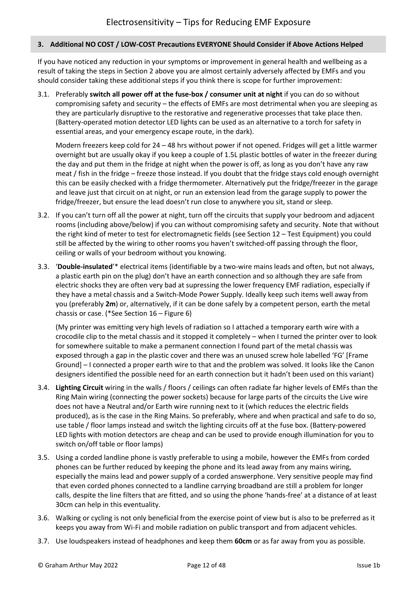#### <span id="page-11-0"></span>**3. Additional NO COST / LOW-COST Precautions EVERYONE Should Consider if Above Actions Helped**

If you have noticed any reduction in your symptoms or improvement in general health and wellbeing as a result of taking the steps in Section 2 above you are almost certainly adversely affected by EMFs and you should consider taking these additional steps if you think there is scope for further improvement:

3.1. Preferably **switch all power off at the fuse-box / consumer unit at night** if you can do so without compromising safety and security – the effects of EMFs are most detrimental when you are sleeping as they are particularly disruptive to the restorative and regenerative processes that take place then. (Battery-operated motion detector LED lights can be used as an alternative to a torch for safety in essential areas, and your emergency escape route, in the dark).

Modern freezers keep cold for 24 – 48 hrs without power if not opened. Fridges will get a little warmer overnight but are usually okay if you keep a couple of 1.5L plastic bottles of water in the freezer during the day and put them in the fridge at night when the power is off, as long as you don't have any raw meat / fish in the fridge – freeze those instead. If you doubt that the fridge stays cold enough overnight this can be easily checked with a fridge thermometer. Alternatively put the fridge/freezer in the garage and leave just that circuit on at night, or run an extension lead from the garage supply to power the fridge/freezer, but ensure the lead doesn't run close to anywhere you sit, stand or sleep.

- 3.2. If you can't turn off all the power at night, turn off the circuits that supply your bedroom and adjacent rooms (including above/below) if you can without compromising safety and security. Note that without the right kind of meter to test for electromagnetic fields (see Section 12 – Test Equipment) you could still be affected by the wiring to other rooms you haven't switched-off passing through the floor, ceiling or walls of your bedroom without you knowing.
- 3.3. '**Double-insulated**'\* electrical items (identifiable by a two-wire mains leads and often, but not always, a plastic earth pin on the plug) don't have an earth connection and so although they are safe from electric shocks they are often very bad at supressing the lower frequency EMF radiation, especially if they have a metal chassis and a Switch-Mode Power Supply. Ideally keep such items well away from you (preferably **2m**) or, alternatively, if it can be done safely by a competent person, earth the metal chassis or case. (\*See Section 16 – Figure 6)

(My printer was emitting very high levels of radiation so I attached a temporary earth wire with a crocodile clip to the metal chassis and it stopped it completely – when I turned the printer over to look for somewhere suitable to make a permanent connection I found part of the metal chassis was exposed through a gap in the plastic cover and there was an unused screw hole labelled 'FG' [Frame Ground] – I connected a proper earth wire to that and the problem was solved. It looks like the Canon designers identified the possible need for an earth connection but it hadn't been used on this variant)

- 3.4. **Lighting Circuit** wiring in the walls / floors / ceilings can often radiate far higher levels of EMFs than the Ring Main wiring (connecting the power sockets) because for large parts of the circuits the Live wire does not have a Neutral and/or Earth wire running next to it (which reduces the electric fields produced), as is the case in the Ring Mains. So preferably, where and when practical and safe to do so, use table / floor lamps instead and switch the lighting circuits off at the fuse box. (Battery-powered LED lights with motion detectors are cheap and can be used to provide enough illumination for you to switch on/off table or floor lamps)
- 3.5. Using a corded landline phone is vastly preferable to using a mobile, however the EMFs from corded phones can be further reduced by keeping the phone and its lead away from any mains wiring, especially the mains lead and power supply of a corded answerphone. Very sensitive people may find that even corded phones connected to a landline carrying broadband are still a problem for longer calls, despite the line filters that are fitted, and so using the phone 'hands-free' at a distance of at least 30cm can help in this eventuality.
- 3.6. Walking or cycling is not only beneficial from the exercise point of view but is also to be preferred as it keeps you away from Wi-Fi and mobile radiation on public transport and from adjacent vehicles.
- 3.7. Use loudspeakers instead of headphones and keep them **60cm** or as far away from you as possible.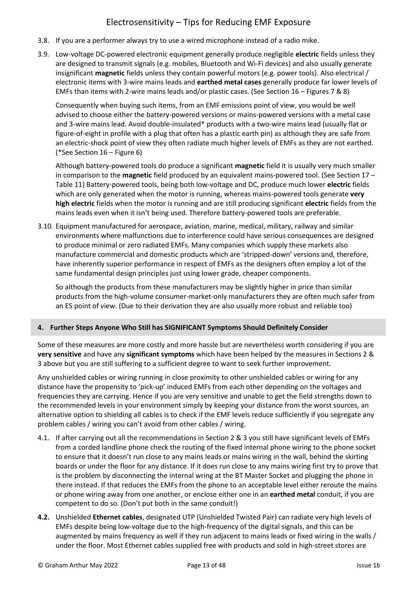- 3.8. If you are a performer always try to use a wired microphone instead of a radio mike.
- 3.9. Low-voltage DC-powered electronic equipment generally produce negligible **electric** fields unless they are designed to transmit signals (e.g. mobiles, Bluetooth and Wi-Fi devices) and also usually generate insignificant **magnetic** fields unless they contain powerful motors (e.g. power tools). Also electrical / electronic items with 3-wire mains leads and **earthed metal cases** generally produce far lower levels of EMFs than items with 2-wire mains leads and/or plastic cases. (See Section 16 – Figures 7 & 8)

Consequently when buying such items, from an EMF emissions point of view, you would be well advised to choose either the battery-powered versions or mains-powered versions with a metal case and 3-wire mains lead. Avoid double-insulated\* products with a two-wire mains lead (usually flat or figure-of-eight in profile with a plug that often has a plastic earth pin) as although they are safe from an electric-shock point of view they often radiate much higher levels of EMFs as they are not earthed. (\*See Section 16 – Figure 6)

Although battery-powered tools do produce a significant **magnetic** field it is usually very much smaller in comparison to the **magnetic** field produced by an equivalent mains-powered tool. (See Section 17 – Table 11) Battery-powered tools, being both low-voltage and DC, produce much lower **electric** fields which are only generated when the motor is running, whereas mains-powered tools generate **very high electric** fields when the motor is running and are still producing significant **electric** fields from the mains leads even when it isn't being used. Therefore battery-powered tools are preferable.

3.10. Equipment manufactured for aerospace, aviation, marine, medical, military, railway and similar environments where malfunctions due to interference could have serious consequences are designed to produce minimal or zero radiated EMFs. Many companies which supply these markets also manufacture commercial and domestic products which are 'stripped-down' versions and, therefore, have inherently superior performance in respect of EMFs as the designers often employ a lot of the same fundamental design principles just using lower grade, cheaper components.

So although the products from these manufacturers may be slightly higher in price than similar products from the high-volume consumer-market-only manufacturers they are often much safer from an ES point of view. (Due to their derivation they are also usually more robust and reliable too)

## <span id="page-12-0"></span>**4. Further Steps Anyone Who Still has SIGNIFICANT Symptoms Should Definitely Consider**

Some of these measures are more costly and more hassle but are nevertheless worth considering if you are **very sensitive** and have any **significant symptoms** which have been helped by the measures in Sections 2 & 3 above but you are still suffering to a sufficient degree to want to seek further improvement.

Any unshielded cables or wiring running in close proximity to other unshielded cables or wiring for any distance have the propensity to 'pick-up' induced EMFs from each other depending on the voltages and frequencies they are carrying. Hence if you are very sensitive and unable to get the field strengths down to the recommended levels in your environment simply by keeping your distance from the worst sources, an alternative option to shielding all cables is to check if the EMF levels reduce sufficiently if you segregate any problem cables / wiring you can't avoid from other cables / wiring.

- 4.1. If after carrying out all the recommendations in Section 2 & 3 you still have significant levels of EMFs from a corded landline phone check the routing of the fixed internal phone wiring to the phone socket to ensure that it doesn't run close to any mains leads or mains wiring in the wall, behind the skirting boards or under the floor for any distance. If it does run close to any mains wiring first try to prove that is the problem by disconnecting the internal wring at the BT Master Socket and plugging the phone in there instead. If that reduces the EMFs from the phone to an acceptable level either reroute the mains or phone wiring away from one another, or enclose either one in an **earthed metal** conduit, if you are competent to do so. (Don't put both in the same conduit!)
- **4.2.** Unshielded **Ethernet cables**, designated UTP (Unshielded Twisted Pair) can radiate very high levels of EMFs despite being low-voltage due to the high-frequency of the digital signals, and this can be augmented by mains frequency as well if they run adjacent to mains leads or fixed wiring in the walls / under the floor. Most Ethernet cables supplied free with products and sold in high-street stores are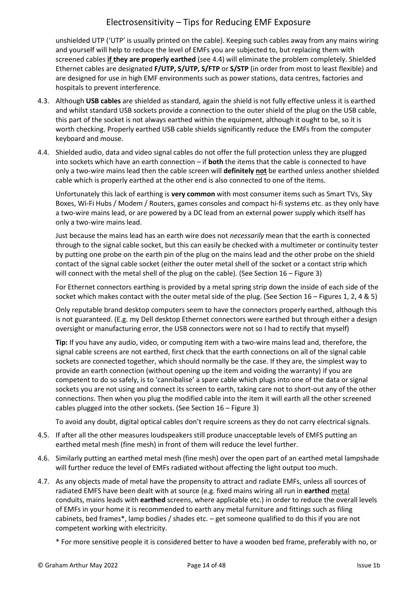unshielded UTP ('UTP' is usually printed on the cable). Keeping such cables away from any mains wiring and yourself will help to reduce the level of EMFs you are subjected to, but replacing them with screened cables **if they are properly earthed** (see 4.4) will eliminate the problem completely. Shielded Ethernet cables are designated **F/UTP, S/UTP, S/FTP** or **S/STP** (in order from most to least flexible) and are designed for use in high EMF environments such as power stations, data centres, factories and hospitals to prevent interference.

- 4.3. Although **USB cables** are shielded as standard, again the shield is not fully effective unless it is earthed and whilst standard USB sockets provide a connection to the outer shield of the plug on the USB cable, this part of the socket is not always earthed within the equipment, although it ought to be, so it is worth checking. Properly earthed USB cable shields significantly reduce the EMFs from the computer keyboard and mouse.
- 4.4. Shielded audio, data and video signal cables do not offer the full protection unless they are plugged into sockets which have an earth connection – if **both** the items that the cable is connected to have only a two-wire mains lead then the cable screen will **definitely not** be earthed unless another shielded cable which is properly earthed at the other end is also connected to one of the items.

Unfortunately this lack of earthing is **very common** with most consumer items such as Smart TVs, Sky Boxes, Wi-Fi Hubs / Modem / Routers, games consoles and compact hi-fi systems etc. as they only have a two-wire mains lead, or are powered by a DC lead from an external power supply which itself has only a two-wire mains lead.

Just because the mains lead has an earth wire does not *necessarily* mean that the earth is connected through to the signal cable socket, but this can easily be checked with a multimeter or continuity tester by putting one probe on the earth pin of the plug on the mains lead and the other probe on the shield contact of the signal cable socket (either the outer metal shell of the socket or a contact strip which will connect with the metal shell of the plug on the cable). (See Section 16 - Figure 3)

For Ethernet connectors earthing is provided by a metal spring strip down the inside of each side of the socket which makes contact with the outer metal side of the plug. (See Section 16 – Figures 1, 2, 4 & 5)

Only reputable brand desktop computers seem to have the connectors properly earthed, although this is not guaranteed. (E.g. my Dell desktop Ethernet connectors were earthed but through either a design oversight or manufacturing error, the USB connectors were not so I had to rectify that myself)

**Tip:** If you have any audio, video, or computing item with a two-wire mains lead and, therefore, the signal cable screens are not earthed, first check that the earth connections on all of the signal cable sockets are connected together, which should normally be the case. If they are, the simplest way to provide an earth connection (without opening up the item and voiding the warranty) if you are competent to do so safely, is to 'cannibalise' a spare cable which plugs into one of the data or signal sockets you are not using and connect its screen to earth, taking care not to short-out any of the other connections. Then when you plug the modified cable into the item it will earth all the other screened cables plugged into the other sockets. (See Section 16 – Figure 3)

To avoid any doubt, digital optical cables don't require screens as they do not carry electrical signals.

- 4.5. If after all the other measures loudspeakers still produce unacceptable levels of EMFS putting an earthed metal mesh (fine mesh) in front of them will reduce the level further.
- 4.6. Similarly putting an earthed metal mesh (fine mesh) over the open part of an earthed metal lampshade will further reduce the level of EMFs radiated without affecting the light output too much.
- 4.7. As any objects made of metal have the propensity to attract and radiate EMFs, unless all sources of radiated EMFS have been dealt with at source (e.g. fixed mains wiring all run in **earthed** metal conduits, mains leads with **earthed** screens, where applicable etc.) in order to reduce the overall levels of EMFs in your home it is recommended to earth any metal furniture and fittings such as filing cabinets, bed frames\*, lamp bodies / shades etc. – get someone qualified to do this if you are not competent working with electricity.
	- \* For more sensitive people it is considered better to have a wooden bed frame, preferably with no, or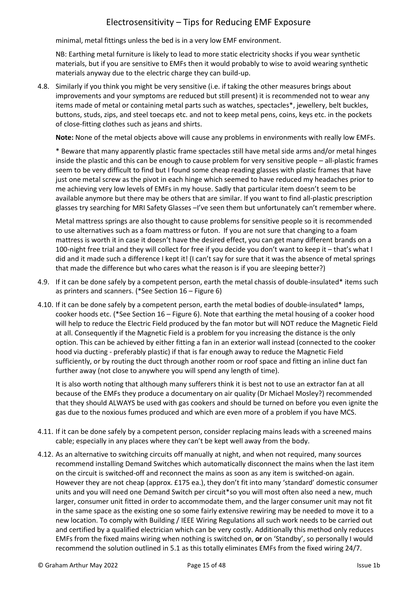minimal, metal fittings unless the bed is in a very low EMF environment.

NB: Earthing metal furniture is likely to lead to more static electricity shocks if you wear synthetic materials, but if you are sensitive to EMFs then it would probably to wise to avoid wearing synthetic materials anyway due to the electric charge they can build-up.

4.8. Similarly if you think you might be very sensitive (i.e. if taking the other measures brings about improvements and your symptoms are reduced but still present) it is recommended not to wear any items made of metal or containing metal parts such as watches, spectacles\*, jewellery, belt buckles, buttons, studs, zips, and steel toecaps etc. and not to keep metal pens, coins, keys etc. in the pockets of close-fitting clothes such as jeans and shirts.

**Note:** None of the metal objects above will cause any problems in environments with really low EMFs.

\* Beware that many apparently plastic frame spectacles still have metal side arms and/or metal hinges inside the plastic and this can be enough to cause problem for very sensitive people – all-plastic frames seem to be very difficult to find but I found some cheap reading glasses with plastic frames that have just one metal screw as the pivot in each hinge which seemed to have reduced my headaches prior to me achieving very low levels of EMFs in my house. Sadly that particular item doesn't seem to be available anymore but there may be others that are similar. If you want to find all-plastic prescription glasses try searching for MRI Safety Glasses –I've seen them but unfortunately can't remember where.

Metal mattress springs are also thought to cause problems for sensitive people so it is recommended to use alternatives such as a foam mattress or futon. If you are not sure that changing to a foam mattress is worth it in case it doesn't have the desired effect, you can get many different brands on a 100-night free trial and they will collect for free if you decide you don't want to keep it – that's what I did and it made such a difference I kept it! (I can't say for sure that it was the absence of metal springs that made the difference but who cares what the reason is if you are sleeping better?)

- 4.9. If it can be done safely by a competent person, earth the metal chassis of double-insulated\* items such as printers and scanners. (\*See Section 16 – Figure 6)
- 4.10. If it can be done safely by a competent person, earth the metal bodies of double-insulated\* lamps, cooker hoods etc. (\*See Section 16 – Figure 6). Note that earthing the metal housing of a cooker hood will help to reduce the Electric Field produced by the fan motor but will NOT reduce the Magnetic Field at all. Consequently if the Magnetic Field is a problem for you increasing the distance is the only option. This can be achieved by either fitting a fan in an exterior wall instead (connected to the cooker hood via ducting - preferably plastic) if that is far enough away to reduce the Magnetic Field sufficiently, or by routing the duct through another room or roof space and fitting an inline duct fan further away (not close to anywhere you will spend any length of time).

It is also worth noting that although many sufferers think it is best not to use an extractor fan at all because of the EMFs they produce a documentary on air quality (Dr Michael Mosley?) recommended that they should ALWAYS be used with gas cookers and should be turned on before you even ignite the gas due to the noxious fumes produced and which are even more of a problem if you have MCS.

- 4.11. If it can be done safely by a competent person, consider replacing mains leads with a screened mains cable; especially in any places where they can't be kept well away from the body.
- 4.12. As an alternative to switching circuits off manually at night, and when not required, many sources recommend installing Demand Switches which automatically disconnect the mains when the last item on the circuit is switched-off and reconnect the mains as soon as any item is switched-on again. However they are not cheap (approx. £175 ea.), they don't fit into many 'standard' domestic consumer units and you will need one Demand Switch per circuit\*so you will most often also need a new, much larger, consumer unit fitted in order to accommodate them, and the larger consumer unit may not fit in the same space as the existing one so some fairly extensive rewiring may be needed to move it to a new location. To comply with Building / IEEE Wiring Regulations all such work needs to be carried out and certified by a qualified electrician which can be very costly. Additionally this method only reduces EMFs from the fixed mains wiring when nothing is switched on, **or** on 'Standby', so personally I would recommend the solution outlined in 5.1 as this totally eliminates EMFs from the fixed wiring 24/7.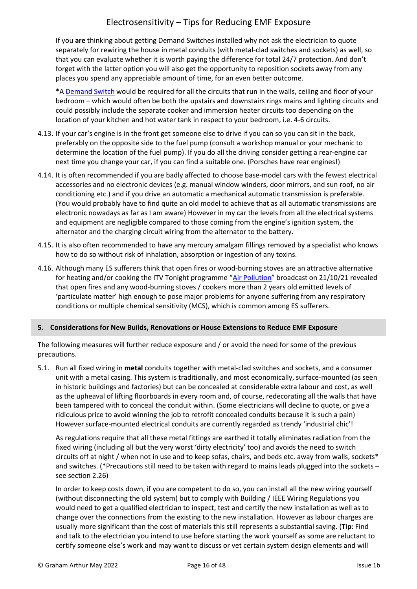If you **are** thinking about getting Demand Switches installed why not ask the electrician to quote separately for rewiring the house in metal conduits (with metal-clad switches and sockets) as well, so that you can evaluate whether it is worth paying the difference for total 24/7 protection. And don't forget with the latter option you will also get the opportunity to reposition sockets away from any places you spend any appreciable amount of time, for an even better outcome.

\*[A Demand Switch](https://www.gigahertz-solutions.de/en/demand-switches/devices/) would be required for all the circuits that run in the walls, ceiling and floor of your bedroom – which would often be both the upstairs and downstairs rings mains and lighting circuits and could possibly include the separate cooker and immersion heater circuits too depending on the location of your kitchen and hot water tank in respect to your bedroom, i.e. 4-6 circuits.

- 4.13. If your car's engine is in the front get someone else to drive if you can so you can sit in the back, preferably on the opposite side to the fuel pump (consult a workshop manual or your mechanic to determine the location of the fuel pump). If you do all the driving consider getting a rear-engine car next time you change your car, if you can find a suitable one. (Porsches have rear engines!)
- 4.14. It is often recommended if you are badly affected to choose base-model cars with the fewest electrical accessories and no electronic devices (e.g. manual window winders, door mirrors, and sun roof, no air conditioning etc.) and if you drive an automatic a mechanical automatic transmission is preferable. (You would probably have to find quite an old model to achieve that as all automatic transmissions are electronic nowadays as far as I am aware) However in my car the levels from all the electrical systems and equipment are negligible compared to those coming from the engine's ignition system, the alternator and the charging circuit wiring from the alternator to the battery.
- 4.15. It is also often recommended to have any mercury amalgam fillings removed by a specialist who knows how to do so without risk of inhalation, absorption or ingestion of any toxins.
- 4.16. Although many ES sufferers think that open fires or wood-burning stoves are an attractive alternative for heating and/or cooking the ITV Tonight programme "[Air Pollution](https://www.itv.com/news/2021-10-20/air-pollution-what-you-need-to-know)" broadcast on 21/10/21 revealed that open fires and any wood-burning stoves / cookers more than 2 years old emitted levels of 'particulate matter' high enough to pose major problems for anyone suffering from any respiratory conditions or multiple chemical sensitivity (MCS), which is common among ES sufferers.

#### <span id="page-15-0"></span>**5. Considerations for New Builds, Renovations or House Extensions to Reduce EMF Exposure**

The following measures will further reduce exposure and / or avoid the need for some of the previous precautions.

5.1. Run all fixed wiring in **metal** conduits together with metal-clad switches and sockets, and a consumer unit with a metal casing. This system is traditionally, and most economically, surface-mounted (as seen in historic buildings and factories) but can be concealed at considerable extra labour and cost, as well as the upheaval of lifting floorboards in every room and, of course, redecorating all the walls that have been tampered with to conceal the conduit within. (Some electricians will decline to quote, or give a ridiculous price to avoid winning the job to retrofit concealed conduits because it is such a pain) However surface-mounted electrical conduits are currently regarded as trendy 'industrial chic'!

As regulations require that all these metal fittings are earthed it totally eliminates radiation from the fixed wiring (including all but the very worst 'dirty electricity' too) and avoids the need to switch circuits off at night / when not in use and to keep sofas, chairs, and beds etc. away from walls, sockets\* and switches. (\*Precautions still need to be taken with regard to mains leads plugged into the sockets – see section 2.26)

In order to keep costs down, if you are competent to do so, you can install all the new wiring yourself (without disconnecting the old system) but to comply with Building / IEEE Wiring Regulations you would need to get a qualified electrician to inspect, test and certify the new installation as well as to change over the connections from the existing to the new installation. However as labour charges are usually more significant than the cost of materials this still represents a substantial saving. (**Tip**: Find and talk to the electrician you intend to use before starting the work yourself as some are reluctant to certify someone else's work and may want to discuss or vet certain system design elements and will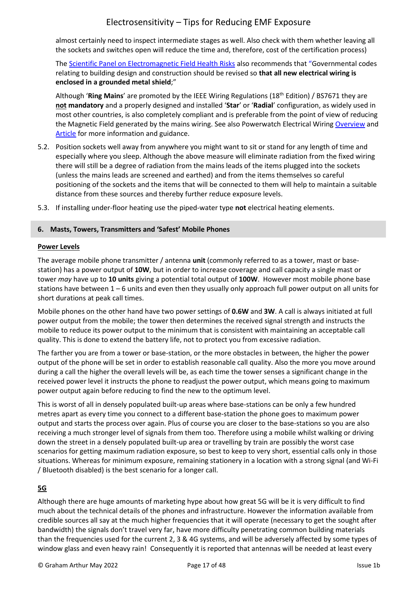almost certainly need to inspect intermediate stages as well. Also check with them whether leaving all the sockets and switches open will reduce the time and, therefore, cost of the certification process)

Th[e Scientific Panel on Electromagnetic Field Health Risks](http://emfsafetynetwork.org/wp-content/uploads/2011/07/Seletun-Statement-2010.pdf) also recommends that "Governmental codes relating to building design and construction should be revised so **that all new electrical wiring is enclosed in a grounded metal shield**;"

Although '**Ring Mains**' are promoted by the IEEE Wiring Regulations (18th Edition) / BS7671 they are **not mandatory** and a properly designed and installed '**Star**' or '**Radial**' configuration, as widely used in most other countries, is also completely compliant and is preferable from the point of view of reducing the Magnetic Field generated by the mains wiring. See also Powerwatch Electrical Wirin[g Overview](https://www.powerwatch.org.uk/elf/wiring.asp) and [Article](https://www.powerwatch.org.uk/library/getfile.asp?articleID=131&sourceID=1) for more information and guidance.

- 5.2. Position sockets well away from anywhere you might want to sit or stand for any length of time and especially where you sleep. Although the above measure will eliminate radiation from the fixed wiring there will still be a degree of radiation from the mains leads of the items plugged into the sockets (unless the mains leads are screened and earthed) and from the items themselves so careful positioning of the sockets and the items that will be connected to them will help to maintain a suitable distance from these sources and thereby further reduce exposure levels.
- 5.3. If installing under-floor heating use the piped-water type **not** electrical heating elements.

### <span id="page-16-0"></span>**6. Masts, Towers, Transmitters and 'Safest' Mobile Phones**

#### **Power Levels**

The average mobile phone transmitter / antenna **unit** (commonly referred to as a tower, mast or basestation) has a power output of **10W**, but in order to increase coverage and call capacity a single mast or tower *may* have up to **10 units** giving a potential total output of **100W**. However most mobile phone base stations have between 1 – 6 units and even then they usually only approach full power output on all units for short durations at peak call times.

Mobile phones on the other hand have two power settings of **0.6W** and **3W**. A call is always initiated at full power output from the mobile; the tower then determines the received signal strength and instructs the mobile to reduce its power output to the minimum that is consistent with maintaining an acceptable call quality. This is done to extend the battery life, not to protect you from excessive radiation.

The farther you are from a tower or base-station, or the more obstacles in between, the higher the power output of the phone will be set in order to establish reasonable call quality. Also the more you move around during a call the higher the overall levels will be, as each time the tower senses a significant change in the received power level it instructs the phone to readjust the power output, which means going to maximum power output again before reducing to find the new to the optimum level.

This is worst of all in densely populated built-up areas where base-stations can be only a few hundred metres apart as every time you connect to a different base-station the phone goes to maximum power output and starts the process over again. Plus of course you are closer to the base-stations so you are also receiving a much stronger level of signals from them too. Therefore using a mobile whilst walking or driving down the street in a densely populated built-up area or travelling by train are possibly the worst case scenarios for getting maximum radiation exposure, so best to keep to very short, essential calls only in those situations. Whereas for minimum exposure, remaining stationery in a location with a strong signal (and Wi-Fi / Bluetooth disabled) is the best scenario for a longer call.

## **5G**

Although there are huge amounts of marketing hype about how great 5G will be it is very difficult to find much about the technical details of the phones and infrastructure. However the information available from credible sources all say at the much higher frequencies that it will operate (necessary to get the sought after bandwidth) the signals don't travel very far, have more difficulty penetrating common building materials than the frequencies used for the current 2, 3 & 4G systems, and will be adversely affected by some types of window glass and even heavy rain! Consequently it is reported that antennas will be needed at least every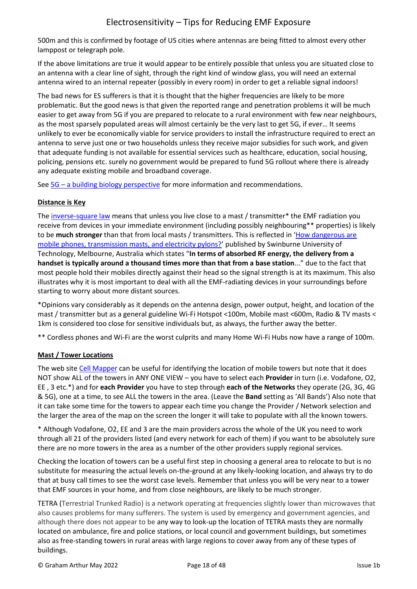500m and this is confirmed by footage of US cities where antennas are being fitted to almost every other lamppost or telegraph pole.

If the above limitations are true it would appear to be entirely possible that unless you are situated close to an antenna with a clear line of sight, through the right kind of window glass, you will need an external antenna wired to an internal repeater (possibly in every room) in order to get a reliable signal indoors!

The bad news for ES sufferers is that it is thought that the higher frequencies are likely to be more problematic. But the good news is that given the reported range and penetration problems it will be much easier to get away from 5G if you are prepared to relocate to a rural environment with few near neighbours, as the most sparsely populated areas will almost certainly be the very last to get 5G, if ever… It seems unlikely to ever be economically viable for service providers to install the infrastructure required to erect an antenna to serve just one or two households unless they receive major subsidies for such work, and given that adequate funding is not available for essential services such as healthcare, education, social housing, policing, pensions etc. surely no government would be prepared to fund 5G rollout where there is already any adequate existing mobile and broadband coverage.

See 5G – [a building biology perspective](https://buildingbiology.com/5g-a-building-biology-perspective/) for more information and recommendations.

### **Distance is Key**

The [inverse-square law](https://en.wikipedia.org/wiki/Inverse-square_law) means that unless you live close to a mast / transmitter\* the EMF radiation you receive from devices in your immediate environment (including possibly neighbouring\*\* properties) is likely to be **much stronger** than that from local masts / transmitters. This is reflected in '[How dangerous are](https://www.ncbi.nlm.nih.gov/pmc/articles/PMC2065971/)  [mobile phones, transmission masts, and electricity pylons?](https://www.ncbi.nlm.nih.gov/pmc/articles/PMC2065971/)' published by Swinburne University of Technology, Melbourne, Australia which states "**In terms of absorbed RF energy, the delivery from a handset is typically around a thousand times more than that from a base station**..." due to the fact that most people hold their mobiles directly against their head so the signal strength is at its maximum. This also illustrates why it is most important to deal with all the EMF-radiating devices in your surroundings before starting to worry about more distant sources.

\*Opinions vary considerably as it depends on the antenna design, power output, height, and location of the mast / transmitter but as a general guideline Wi-Fi Hotspot <100m, Mobile mast <600m, Radio & TV masts < 1km is considered too close for sensitive individuals but, as always, the further away the better.

\*\* Cordless phones and Wi-Fi are the worst culprits and many Home Wi-Fi Hubs now have a range of 100m.

## **Mast / Tower Locations**

The web site [Cell Mapper](https://www.cellmapper.net/map?MCC=234&MNC=20&type=LTE&latitude=51.13367609008981&longitude=-0.23058066721802845&zoom=12&showTowers=true&showTowerLabels=false&clusterEnabled=false&tilesEnabled=false&showOrphans=false&showNoFrequencyOnly=false&showFrequencyOnly=false&showBandwidthOnly=false&DateFilterType=FirstSeen&showHex=false&showVerifiedOnly=false&showUnverifiedOnly=false&showLTECAOnly=false&showENDCOnly=false&showBand=0&showSectorColours=true&mapType=roadmap) can be useful for identifying the location of mobile towers but note that it does NOT show ALL of the towers in ANY ONE VIEW – you have to select each **Provider** in turn (i.e. Vodafone, O2, EE , 3 etc.\*) and for **each Provider** you have to step through **each of the Networks** they operate (2G, 3G, 4G & 5G), one at a time, to see ALL the towers in the area. (Leave the **Band** setting as 'All Bands') Also note that it can take some time for the towers to appear each time you change the Provider / Network selection and the larger the area of the map on the screen the longer it will take to populate with all the known towers.

\* Although Vodafone, O2, EE and 3 are the main providers across the whole of the UK you need to work through all 21 of the providers listed (and every network for each of them) if you want to be absolutely sure there are no more towers in the area as a number of the other providers supply regional services.

Checking the location of towers can be a useful first step in choosing a general area to relocate to but is no substitute for measuring the actual levels on-the-ground at any likely-looking location, and always try to do that at busy call times to see the worst case levels. Remember that unless you will be very near to a tower that EMF sources in your home, and from close neighbours, are likely to be much stronger.

TETRA (Terrestrial Trunked Radio) is a network operating at frequencies slightly lower than microwaves that also causes problems for many sufferers. The system is used by emergency and government agencies, and although there does not appear to be any way to look-up the location of TETRA masts they are normally located on ambulance, fire and police stations, or local council and government buildings, but sometimes also as free-standing towers in rural areas with large regions to cover away from any of these types of buildings.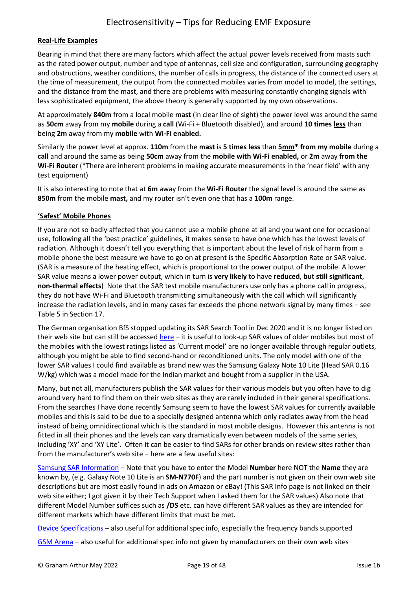#### **Real-Life Examples**

Bearing in mind that there are many factors which affect the actual power levels received from masts such as the rated power output, number and type of antennas, cell size and configuration, surrounding geography and obstructions, weather conditions, the number of calls in progress, the distance of the connected users at the time of measurement, the output from the connected mobiles varies from model to model, the settings, and the distance from the mast, and there are problems with measuring constantly changing signals with less sophisticated equipment, the above theory is generally supported by my own observations.

At approximately **840m** from a local mobile **mast** (in clear line of sight) the power level was around the same as **50cm** away from my **mobile** during a **call** (Wi-Fi + Bluetooth disabled), and around **10 times less** than being **2m** away from my **mobile** with **Wi-Fi enabled.**

Similarly the power level at approx. **110m** from the **mast** is **5 times less** than **5mm\* from my mobile** during a **call** and around the same as being **50cm** away from the **mobile with Wi-Fi enabled,** or **2m** away **from the Wi-Fi Router** (\*There are inherent problems in making accurate measurements in the 'near field' with any test equipment)

It is also interesting to note that at **6m** away from the **Wi-Fi Router** the signal level is around the same as **850m** from the mobile **mast,** and my router isn't even one that has a **100m** range.

#### **'Safest' Mobile Phones**

If you are not so badly affected that you cannot use a mobile phone at all and you want one for occasional use, following all the 'best practice' guidelines, it makes sense to have one which has the lowest levels of radiation. Although it doesn't tell you everything that is important about the level of risk of harm from a mobile phone the best measure we have to go on at present is the Specific Absorption Rate or SAR value. (SAR is a measure of the heating effect, which is proportional to the power output of the mobile. A lower SAR value means a lower power output, which in turn is **very likely** to have **reduced**, **but still significant**, **non-thermal effects**) Note that the SAR test mobile manufacturers use only has a phone call in progress, they do not have Wi-Fi and Bluetooth transmitting simultaneously with the call which will significantly increase the radiation levels, and in many cases far exceeds the phone network signal by many times – see Table 5 in Section 17.

The German organisation BfS stopped updating its SAR Search Tool in Dec 2020 and it is no longer listed on their web site but can still be accessed [here](https://www.bfs.de/SiteGlobals/Forms/Suche/BfS/EN/SARsuche_Formular.html?gts=6048912_list%253DSAREar_double%252Basc&csstring_SARAdditional=aktuell&sarEar=sarEar1) – it is useful to look-up SAR values of older mobiles but most of the mobiles with the lowest ratings listed as 'Current model' are no longer available through regular outlets, although you might be able to find second-hand or reconditioned units. The only model with one of the lower SAR values I could find available as brand new was the Samsung Galaxy Note 10 Lite (Head SAR 0.16 W/kg) which was a model made for the Indian market and bought from a supplier in the USA.

Many, but not all, manufacturers publish the SAR values for their various models but you often have to dig around very hard to find them on their web sites as they are rarely included in their general specifications. From the searches I have done recently Samsung seem to have the lowest SAR values for currently available mobiles and this is said to be due to a specially designed antenna which only radiates away from the head instead of being omnidirectional which is the standard in most mobile designs. However this antenna is not fitted in all their phones and the levels can vary dramatically even between models of the same series, including 'XY' and 'XY Lite'. Often it can be easier to find SARs for other brands on review sites rather than from the manufacturer's web site – here are a few useful sites:

[Samsung SAR Information](https://www.samsung.com/sar/sarMain?site_cd=&prd_mdl_name=SM-N770F&selNatCd=GB&languageCode=EN) – Note that you have to enter the Model **Number** here NOT the **Name** they are known by, (e.g. Galaxy Note 10 Lite is an **SM-N770F**) and the part number is not given on their own web site descriptions but are most easily found in ads on Amazon or eBay! (This SAR Info page is not linked on their web site either; I got given it by their Tech Support when I asked them for the SAR values) Also note that different Model Number suffices such as **/DS** etc. can have different SAR values as they are intended for different markets which have different limits that must be met.

[Device Specifications](https://www.devicespecifications.com/en/model/438452ae) – also useful for additional spec info, especially the frequency bands supported

[GSM Arena](https://www.gsmarena.com/samsung_galaxy_note10_lite-10003.php) - also useful for additional spec info not given by manufacturers on their own web sites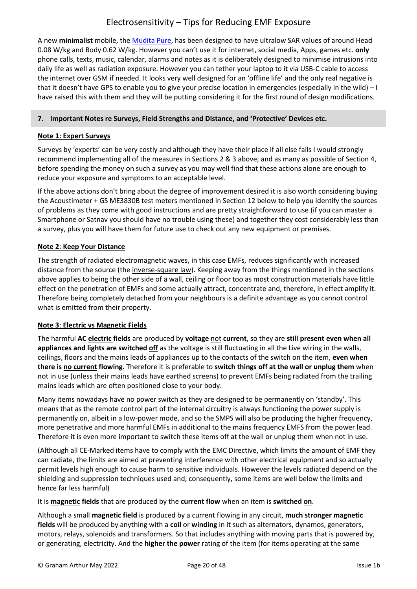A new **minimalist** mobile, th[e Mudita Pure,](https://mudita.com/products/pure/) has been designed to have ultralow SAR values of around Head 0.08 W/kg and Body 0.62 W/kg. However you can't use it for internet, social media, Apps, games etc. **only** phone calls, texts, music, calendar, alarms and notes as it is deliberately designed to minimise intrusions into daily life as well as radiation exposure. However you can tether your laptop to it via USB-C cable to access the internet over GSM if needed. It looks very well designed for an 'offline life' and the only real negative is that it doesn't have GPS to enable you to give your precise location in emergencies (especially in the wild) – I have raised this with them and they will be putting considering it for the first round of design modifications.

## <span id="page-19-0"></span>**7. Important Notes re Surveys, Field Strengths and Distance, and 'Protective' Devices etc.**

## **Note 1: Expert Surveys**

Surveys by 'experts' can be very costly and although they have their place if all else fails I would strongly recommend implementing all of the measures in Sections 2 & 3 above, and as many as possible of Section 4, before spending the money on such a survey as you may well find that these actions alone are enough to reduce your exposure and symptoms to an acceptable level.

If the above actions don't bring about the degree of improvement desired it is also worth considering buying the Acoustimeter + GS ME3830B test meters mentioned in Section 12 below to help you identify the sources of problems as they come with good instructions and are pretty straightforward to use (if you can master a Smartphone or Satnav you should have no trouble using these) and together they cost considerably less than a survey, plus you will have them for future use to check out any new equipment or premises.

## **Note 2**: **Keep Your Distance**

The strength of radiated electromagnetic waves, in this case EMFs, reduces significantly with increased distance from the source (the [inverse-square law\)](https://en.wikipedia.org/wiki/Inverse-square_law). Keeping away from the things mentioned in the sections above applies to being the other side of a wall, ceiling or floor too as most construction materials have little effect on the penetration of EMFs and some actually attract, concentrate and, therefore, in effect amplify it. Therefore being completely detached from your neighbours is a definite advantage as you cannot control what is emitted from their property.

## **Note 3**: **Electric vs Magnetic Fields**

The harmful **AC electric fields** are produced by **voltage** not **current**, so they are **still present even when all appliances and lights are switched off** as the voltage is still fluctuating in all the Live wiring in the walls, ceilings, floors and the mains leads of appliances up to the contacts of the switch on the item, **even when there is no current flowing**. Therefore it is preferable to **switch things off at the wall or unplug them** when not in use (unless their mains leads have earthed screens) to prevent EMFs being radiated from the trailing mains leads which are often positioned close to your body.

Many items nowadays have no power switch as they are designed to be permanently on 'standby'. This means that as the remote control part of the internal circuitry is always functioning the power supply is permanently on, albeit in a low-power mode, and so the SMPS will also be producing the higher frequency, more penetrative and more harmful EMFs in additional to the mains frequency EMFS from the power lead. Therefore it is even more important to switch these items off at the wall or unplug them when not in use.

(Although all CE-Marked items have to comply with the EMC Directive, which limits the amount of EMF they can radiate, the limits are aimed at preventing interference with other electrical equipment and so actually permit levels high enough to cause harm to sensitive individuals. However the levels radiated depend on the shielding and suppression techniques used and, consequently, some items are well below the limits and hence far less harmful)

It is **magnetic fields** that are produced by the **current flow** when an item is **switched on**.

Although a small **magnetic field** is produced by a current flowing in any circuit, **much stronger magnetic fields** will be produced by anything with a **coil** or **winding** in it such as alternators, dynamos, generators, motors, relays, solenoids and transformers. So that includes anything with moving parts that is powered by, or generating, electricity. And the **higher the power** rating of the item (for items operating at the same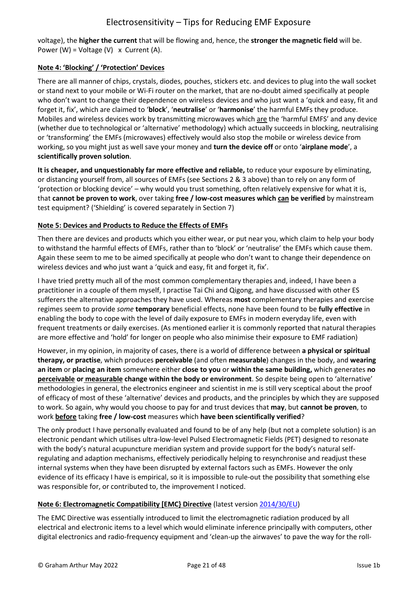voltage), the **higher the current** that will be flowing and, hence, the **stronger the magnetic field** will be. Power (W) = Voltage (V)  $\times$  Current (A).

### **Note 4: 'Blocking' / 'Protection' Devices**

There are all manner of chips, crystals, diodes, pouches, stickers etc. and devices to plug into the wall socket or stand next to your mobile or Wi-Fi router on the market, that are no-doubt aimed specifically at people who don't want to change their dependence on wireless devices and who just want a 'quick and easy, fit and forget it, fix', which are claimed to '**block**', '**neutralise**' or '**harmonise**' the harmful EMFs they produce. Mobiles and wireless devices work by transmitting microwaves which are the 'harmful EMFS' and any device (whether due to technological or 'alternative' methodology) which actually succeeds in blocking, neutralising or 'transforming' the EMFs (microwaves) effectively would also stop the mobile or wireless device from working, so you might just as well save your money and **turn the device off** or onto '**airplane mode**', a **scientifically proven solution**.

**It is cheaper, and unquestionably far more effective and reliable,** to reduce your exposure by eliminating, or distancing yourself from, all sources of EMFs (see Sections 2 & 3 above) than to rely on any form of 'protection or blocking device' – why would you trust something, often relatively expensive for what it is, that **cannot be proven to work**, over taking **free / low-cost measures which can be verified** by mainstream test equipment? ('Shielding' is covered separately in Section 7)

### **Note 5: Devices and Products to Reduce the Effects of EMFs**

Then there are devices and products which you either wear, or put near you, which claim to help your body to withstand the harmful effects of EMFs, rather than to 'block' or 'neutralise' the EMFs which cause them. Again these seem to me to be aimed specifically at people who don't want to change their dependence on wireless devices and who just want a 'quick and easy, fit and forget it, fix'.

I have tried pretty much all of the most common complementary therapies and, indeed, I have been a practitioner in a couple of them myself, I practise Tai Chi and Qigong, and have discussed with other ES sufferers the alternative approaches they have used. Whereas **most** complementary therapies and exercise regimes seem to provide *some* **temporary** beneficial effects, none have been found to be **fully effective** in enabling the body to cope with the level of daily exposure to EMFs in modern everyday life, even with frequent treatments or daily exercises. (As mentioned earlier it is commonly reported that natural therapies are more effective and 'hold' for longer on people who also minimise their exposure to EMF radiation)

However, in my opinion, in majority of cases, there is a world of difference between **a physical or spiritual therapy, or practise**, which produces **perceivable** (and often **measurable**) changes in the body, and **wearing an item** or **placing an item** somewhere either **close to you** or **within the same building,** which generates **no perceivable or measurable change within the body or environment**. So despite being open to 'alternative' methodologies in general, the electronics engineer and scientist in me is still very sceptical about the proof of efficacy of most of these 'alternative' devices and products, and the principles by which they are supposed to work. So again, why would you choose to pay for and trust devices that **may**, but **cannot be proven**, to work **before** taking **free / low-cost** measures which **have been scientifically verified**?

The only product I have personally evaluated and found to be of any help (but not a complete solution) is an electronic pendant which utilises ultra-low-level Pulsed Electromagnetic Fields (PET) designed to resonate with the body's natural acupuncture meridian system and provide support for the body's natural selfregulating and adaption mechanisms, effectively periodically helping to resynchronise and readjust these internal systems when they have been disrupted by external factors such as EMFs. However the only evidence of its efficacy I have is empirical, so it is impossible to rule-out the possibility that something else was responsible for, or contributed to, the improvement I noticed.

## **Note 6: Electromagnetic Compatibility [EMC} Directive** (latest versio[n 2014/30/EU\)](http://ec.europa.eu/growth/sectors/electrical-engineering/emc-directive_en)

The EMC Directive was essentially introduced to limit the electromagnetic radiation produced by all electrical and electronic items to a level which would eliminate inference principally with computers, other digital electronics and radio-frequency equipment and 'clean-up the airwaves' to pave the way for the roll-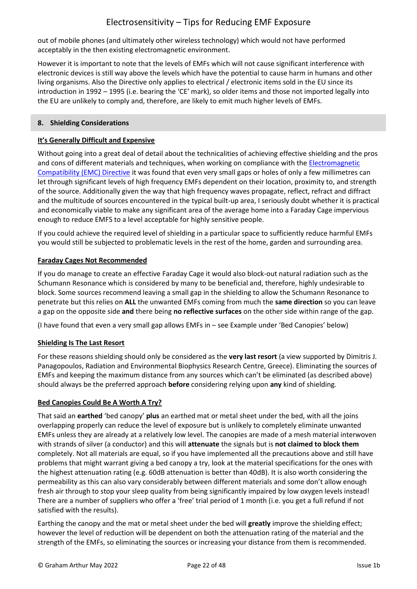out of mobile phones (and ultimately other wireless technology) which would not have performed acceptably in the then existing electromagnetic environment.

However it is important to note that the levels of EMFs which will not cause significant interference with electronic devices is still way above the levels which have the potential to cause harm in humans and other living organisms. Also the Directive only applies to electrical / electronic items sold in the EU since its introduction in 1992 – 1995 (i.e. bearing the 'CE' mark), so older items and those not imported legally into the EU are unlikely to comply and, therefore, are likely to emit much higher levels of EMFs.

## <span id="page-21-0"></span>**8. Shielding Considerations**

## **It's Generally Difficult and Expensive**

Without going into a great deal of detail about the technicalities of achieving effective shielding and the pros and cons of different materials and techniques, when working on compliance with the [Electromagnetic](http://ec.europa.eu/growth/sectors/electrical-engineering/emc-directive_en)  [Compatibility \(EMC\) Directive](http://ec.europa.eu/growth/sectors/electrical-engineering/emc-directive_en) it was found that even very small gaps or holes of only a few millimetres can let through significant levels of high frequency EMFs dependent on their location, proximity to, and strength of the source. Additionally given the way that high frequency waves propagate, reflect, refract and diffract and the multitude of sources encountered in the typical built-up area, I seriously doubt whether it is practical and economically viable to make any significant area of the average home into a Faraday Cage impervious enough to reduce EMFS to a level acceptable for highly sensitive people.

If you could achieve the required level of shielding in a particular space to sufficiently reduce harmful EMFs you would still be subjected to problematic levels in the rest of the home, garden and surrounding area.

## **Faraday Cages Not Recommended**

If you do manage to create an effective Faraday Cage it would also block-out natural radiation such as the Schumann Resonance which is considered by many to be beneficial and, therefore, highly undesirable to block. Some sources recommend leaving a small gap in the shielding to allow the Schumann Resonance to penetrate but this relies on **ALL** the unwanted EMFs coming from much the **same direction** so you can leave a gap on the opposite side **and** there being **no reflective surfaces** on the other side within range of the gap.

(I have found that even a very small gap allows EMFs in – see Example under 'Bed Canopies' below)

## **Shielding Is The Last Resort**

For these reasons shielding should only be considered as the **very last resort** (a view supported by Dimitris J. Panagopoulos, Radiation and Environmental Biophysics Research Centre, Greece). Eliminating the sources of EMFs and keeping the maximum distance from any sources which can't be eliminated (as described above) should always be the preferred approach **before** considering relying upon **any** kind of shielding.

## **Bed Canopies Could Be A Worth A Try?**

That said an **earthed** 'bed canopy' **plus** an earthed mat or metal sheet under the bed, with all the joins overlapping properly can reduce the level of exposure but is unlikely to completely eliminate unwanted EMFs unless they are already at a relatively low level. The canopies are made of a mesh material interwoven with strands of silver (a conductor) and this will **attenuate** the signals but is **not claimed to block them** completely. Not all materials are equal, so if you have implemented all the precautions above and still have problems that might warrant giving a bed canopy a try, look at the material specifications for the ones with the highest attenuation rating (e.g. 60dB attenuation is better than 40dB). It is also worth considering the permeability as this can also vary considerably between different materials and some don't allow enough fresh air through to stop your sleep quality from being significantly impaired by low oxygen levels instead! There are a number of suppliers who offer a 'free' trial period of 1 month (i.e. you get a full refund if not satisfied with the results).

Earthing the canopy and the mat or metal sheet under the bed will **greatly** improve the shielding effect; however the level of reduction will be dependent on both the attenuation rating of the material and the strength of the EMFs, so eliminating the sources or increasing your distance from them is recommended.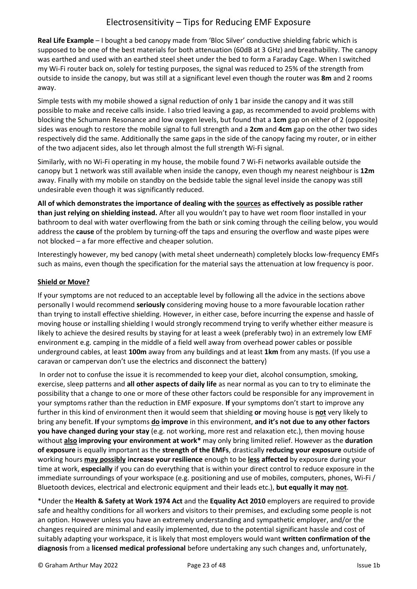**Real Life Example** – I bought a bed canopy made from 'Bloc Silver' conductive shielding fabric which is supposed to be one of the best materials for both attenuation (60dB at 3 GHz) and breathability. The canopy was earthed and used with an earthed steel sheet under the bed to form a Faraday Cage. When I switched my Wi-Fi router back on, solely for testing purposes, the signal was reduced to 25% of the strength from outside to inside the canopy, but was still at a significant level even though the router was **8m** and 2 rooms away.

Simple tests with my mobile showed a signal reduction of only 1 bar inside the canopy and it was still possible to make and receive calls inside. I also tried leaving a gap, as recommended to avoid problems with blocking the Schumann Resonance and low oxygen levels, but found that a **1cm** gap on either of 2 (opposite) sides was enough to restore the mobile signal to full strength and a **2cm** and **4cm** gap on the other two sides respectively did the same. Additionally the same gaps in the side of the canopy facing my router, or in either of the two adjacent sides, also let through almost the full strength Wi-Fi signal.

Similarly, with no Wi-Fi operating in my house, the mobile found 7 Wi-Fi networks available outside the canopy but 1 network was still available when inside the canopy, even though my nearest neighbour is **12m** away. Finally with my mobile on standby on the bedside table the signal level inside the canopy was still undesirable even though it was significantly reduced.

**All of which demonstrates the importance of dealing with the sources as effectively as possible rather than just relying on shielding instead.** After all you wouldn't pay to have wet room floor installed in your bathroom to deal with water overflowing from the bath or sink coming through the ceiling below, you would address the **cause** of the problem by turning-off the taps and ensuring the overflow and waste pipes were not blocked – a far more effective and cheaper solution.

Interestingly however, my bed canopy (with metal sheet underneath) completely blocks low-frequency EMFs such as mains, even though the specification for the material says the attenuation at low frequency is poor.

## **Shield or Move?**

If your symptoms are not reduced to an acceptable level by following all the advice in the sections above personally I would recommend **seriously** considering moving house to a more favourable location rather than trying to install effective shielding. However, in either case, before incurring the expense and hassle of moving house or installing shielding I would strongly recommend trying to verify whether either measure is likely to achieve the desired results by staying for at least a week (preferably two) in an extremely low EMF environment e.g. camping in the middle of a field well away from overhead power cables or possible underground cables, at least **100m** away from any buildings and at least **1km** from any masts. (If you use a caravan or campervan don't use the electrics and disconnect the battery)

In order not to confuse the issue it is recommended to keep your diet, alcohol consumption, smoking, exercise, sleep patterns and **all other aspects of daily life** as near normal as you can to try to eliminate the possibility that a change to one or more of these other factors could be responsible for any improvement in your symptoms rather than the reduction in EMF exposure. **If** your symptoms don't start to improve any further in this kind of environment then it would seem that shielding **or** moving house is **not** very likely to bring any benefit. **If** your symptoms **do improve** in this environment, **and it's not due to any other factors you have changed during your stay** (e.g. not working, more rest and relaxation etc.), then moving house without **also improving your environment at work\*** may only bring limited relief. However as the **duration of exposure** is equally important as the **strength of the EMFs**, drastically **reducing your exposure** outside of working hours **may possibly increase your resilience** enough to be **less affected** by exposure during your time at work, **especially** if you can do everything that is within your direct control to reduce exposure in the immediate surroundings of your workspace (e.g. positioning and use of mobiles, computers, phones, Wi-Fi / Bluetooth devices, electrical and electronic equipment and their leads etc.), **but equally it may not**.

\*Under the **Health & Safety at Work 1974 Act** and the **Equality Act 2010** employers are required to provide safe and healthy conditions for all workers and visitors to their premises, and excluding some people is not an option. However unless you have an extremely understanding and sympathetic employer, and/or the changes required are minimal and easily implemented, due to the potential significant hassle and cost of suitably adapting your workspace, it is likely that most employers would want **written confirmation of the diagnosis** from a **licensed medical professional** before undertaking any such changes and, unfortunately,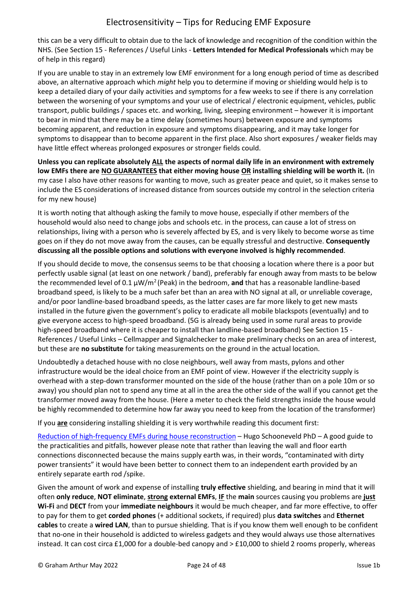this can be a very difficult to obtain due to the lack of knowledge and recognition of the condition within the NHS. (See Section 15 - References / Useful Links - **Letters Intended for Medical Professionals** which may be of help in this regard)

If you are unable to stay in an extremely low EMF environment for a long enough period of time as described above, an alternative approach which *might* help you to determine if moving or shielding would help is to keep a detailed diary of your daily activities and symptoms for a few weeks to see if there is any correlation between the worsening of your symptoms and your use of electrical / electronic equipment, vehicles, public transport, public buildings / spaces etc. and working, living, sleeping environment – however it is important to bear in mind that there may be a time delay (sometimes hours) between exposure and symptoms becoming apparent, and reduction in exposure and symptoms disappearing, and it may take longer for symptoms to disappear than to become apparent in the first place. Also short exposures / weaker fields may have little effect whereas prolonged exposures or stronger fields could.

**Unless you can replicate absolutely ALL the aspects of normal daily life in an environment with extremely low EMFs there are NO GUARANTEES that either moving house OR installing shielding will be worth it.** (In my case I also have other reasons for wanting to move, such as greater peace and quiet, so it makes sense to include the ES considerations of increased distance from sources outside my control in the selection criteria for my new house)

It is worth noting that although asking the family to move house, especially if other members of the household would also need to change jobs and schools etc. in the process, can cause a lot of stress on relationships, living with a person who is severely affected by ES, and is very likely to become worse as time goes on if they do not move away from the causes, can be equally stressful and destructive. **Consequently discussing all the possible options and solutions with everyone involved is highly recommended**.

If you should decide to move, the consensus seems to be that choosing a location where there is a poor but perfectly usable signal (at least on one network / band), preferably far enough away from masts to be below the recommended level of 0.1 μW/m<sup>2</sup> (Peak) in the bedroom, and that has a reasonable landline-based broadband speed, is likely to be a much safer bet than an area with NO signal at all, or unreliable coverage, and/or poor landline-based broadband speeds, as the latter cases are far more likely to get new masts installed in the future given the government's policy to eradicate all mobile blackspots (eventually) and to give everyone access to high-speed broadband. (5G is already being used in some rural areas to provide high-speed broadband where it is cheaper to install than landline-based broadband) See Section 15 - References / Useful Links – Cellmapper and Signalchecker to make preliminary checks on an area of interest, but these are **no substitute** for taking measurements on the ground in the actual location.

Undoubtedly a detached house with no close neighbours, well away from masts, pylons and other infrastructure would be the ideal choice from an EMF point of view. However if the electricity supply is overhead with a step-down transformer mounted on the side of the house (rather than on a pole 10m or so away) you should plan not to spend any time at all in the area the other side of the wall if you cannot get the transformer moved away from the house. (Here a meter to check the field strengths inside the house would be highly recommended to determine how far away you need to keep from the location of the transformer)

If you **are** considering installing shielding it is very worthwhile reading this document first:

[Reduction of high-frequency EMFs during house reconstruction](http://www.es-uk.info/wp-content/uploads/2021/10/Dr-H-Schooneveld_Shielding-house-vs.2-20151.pdf) – Hugo Schooneveld PhD – A good guide to the practicalities and pitfalls, however please note that rather than leaving the wall and floor earth connections disconnected because the mains supply earth was, in their words, "contaminated with dirty power transients" it would have been better to connect them to an independent earth provided by an entirely separate earth rod /spike.

Given the amount of work and expense of installing **truly effective** shielding, and bearing in mind that it will often **only reduce**, **NOT eliminate**, **strong external EMFs**, **IF** the **main** sources causing you problems are **just Wi-Fi** and **DECT** from your **immediate neighbours** it would be much cheaper, and far more effective, to offer to pay for them to get **corded phones** (+ additional sockets, if required) plus **data switches** and **Ethernet cables** to create a **wired LAN**, than to pursue shielding. That is if you know them well enough to be confident that no-one in their household is addicted to wireless gadgets and they would always use those alternatives instead. It can cost circa £1,000 for a double-bed canopy and > £10,000 to shield 2 rooms properly, whereas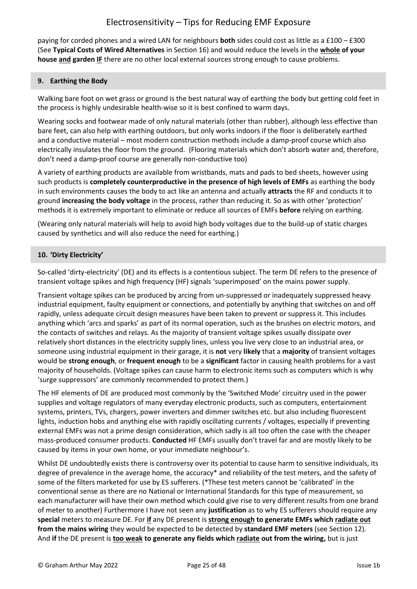paying for corded phones and a wired LAN for neighbours **both** sides could cost as little as a £100 – £300 (See **Typical Costs of Wired Alternatives** in Section 16) and would reduce the levels in the **whole of your house and garden IF** there are no other local external sources strong enough to cause problems.

### <span id="page-24-0"></span>**9. Earthing the Body**

Walking bare foot on wet grass or ground is the best natural way of earthing the body but getting cold feet in the process is highly undesirable health-wise so it is best confined to warm days.

Wearing socks and footwear made of only natural materials (other than rubber), although less effective than bare feet, can also help with earthing outdoors, but only works indoors if the floor is deliberately earthed and a conductive material – most modern construction methods include a damp-proof course which also electrically insulates the floor from the ground. (Flooring materials which don't absorb water and, therefore, don't need a damp-proof course are generally non-conductive too)

A variety of earthing products are available from wristbands, mats and pads to bed sheets, however using such products is **completely counterproductive in the presence of high levels of EMFs** as earthing the body in such environments causes the body to act like an antenna and actually **attracts** the RF and conducts it to ground **increasing the body voltage** in the process, rather than reducing it. So as with other 'protection' methods it is extremely important to eliminate or reduce all sources of EMFs **before** relying on earthing.

(Wearing only natural materials will help to avoid high body voltages due to the build-up of static charges caused by synthetics and will also reduce the need for earthing.)

### <span id="page-24-1"></span>**10. 'Dirty Electricity'**

So-called 'dirty-electricity' (DE) and its effects is a contentious subject. The term DE refers to the presence of transient voltage spikes and high frequency (HF) signals 'superimposed' on the mains power supply.

Transient voltage spikes can be produced by arcing from un-suppressed or inadequately suppressed heavy industrial equipment, faulty equipment or connections, and potentially by anything that switches on and off rapidly, unless adequate circuit design measures have been taken to prevent or suppress it. This includes anything which 'arcs and sparks' as part of its normal operation, such as the brushes on electric motors, and the contacts of switches and relays. As the majority of transient voltage spikes usually dissipate over relatively short distances in the electricity supply lines, unless you live very close to an industrial area, or someone using industrial equipment in their garage, it is **not** very **likely** that a **majority** of transient voltages would be **strong enough**, or **frequent enough** to be a **significant** factor in causing health problems for a vast majority of households. (Voltage spikes can cause harm to electronic items such as computers which is why 'surge suppressors' are commonly recommended to protect them.)

The HF elements of DE are produced most commonly by the 'Switched Mode' circuitry used in the power supplies and voltage regulators of many everyday electronic products, such as computers, entertainment systems, printers, TVs, chargers, power inverters and dimmer switches etc. but also including fluorescent lights, induction hobs and anything else with rapidly oscillating currents / voltages, especially if preventing external EMFs was not a prime design consideration, which sadly is all too often the case with the cheaper mass-produced consumer products. **Conducted** HF EMFs usually don't travel far and are mostly likely to be caused by items in your own home, or your immediate neighbour's.

Whilst DE undoubtedly exists there is controversy over its potential to cause harm to sensitive individuals, its degree of prevalence in the average home, the accuracy\* and reliability of the test meters, and the safety of some of the filters marketed for use by ES sufferers. (\*These test meters cannot be 'calibrated' in the conventional sense as there are no National or International Standards for this type of measurement, so each manufacturer will have their own method which could give rise to very different results from one brand of meter to another) Furthermore I have not seen any **justification** as to why ES sufferers should require any **special** meters to measure DE. For **if** any DE present is **strong enough to generate EMFs which radiate out from the mains wiring** they would be expected to be detected by **standard EMF meters** (see Section 12). And **if** the DE present is **too weak to generate any fields which radiate out from the wiring,** but is just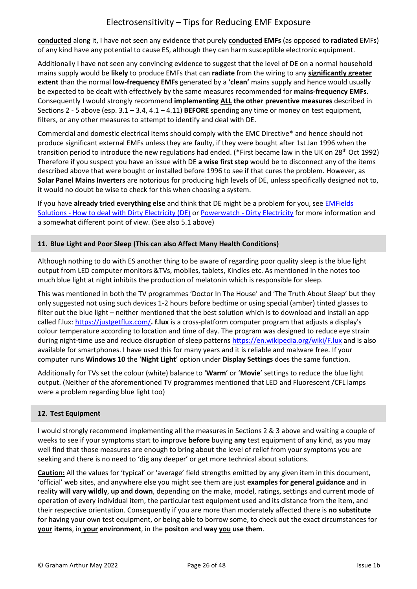**conducted** along it, I have not seen any evidence that purely **conducted EMFs** (as opposed to **radiated** EMFs) of any kind have any potential to cause ES, although they can harm susceptible electronic equipment.

Additionally I have not seen any convincing evidence to suggest that the level of DE on a normal household mains supply would be **likely** to produce EMFs that can **radiate** from the wiring to any **significantly greater extent** than the normal **low-frequency EMFs** generated by a **'clean'** mains supply and hence would usually be expected to be dealt with effectively by the same measures recommended for **mains-frequency EMFs**. Consequently I would strongly recommend **implementing ALL the other preventive measures** described in Sections 2 - 5 above (esp. 3.1 – 3.4, 4.1 – 4.11) **BEFORE** spending any time or money on test equipment, filters, or any other measures to attempt to identify and deal with DE.

Commercial and domestic electrical items should comply with the EMC Directive\* and hence should not produce significant external EMFs unless they are faulty, if they were bought after 1st Jan 1996 when the transition period to introduce the new regulations had ended. (\*First became law in the UK on 28<sup>th</sup> Oct 1992) Therefore if you suspect you have an issue with DE **a wise first step** would be to disconnect any of the items described above that were bought or installed before 1996 to see if that cures the problem. However, as **Solar Panel Mains Inverters** are notorious for producing high levels of DE, unless specifically designed not to, it would no doubt be wise to check for this when choosing a system.

If you have **already tried everything else** and think that DE might be a problem for you, see [EMFields](https://emfields-solutions.com/how-to-deal-with-dirty-electricity-de/)  Solutions - [How to deal with Dirty Electricity \(DE\)](https://emfields-solutions.com/how-to-deal-with-dirty-electricity-de/) or Powerwatch - [Dirty Electricity](https://www.powerwatch.org.uk/library/getfile.asp?articleID=132&sourceID=1) for more information and a somewhat different point of view. (See also 5.1 above)

### <span id="page-25-0"></span>**11. Blue Light and Poor Sleep (This can also Affect Many Health Conditions)**

Although nothing to do with ES another thing to be aware of regarding poor quality sleep is the blue light output from LED computer monitors &TVs, mobiles, tablets, Kindles etc. As mentioned in the notes too much blue light at night inhibits the production of melatonin which is responsible for sleep.

This was mentioned in both the TV programmes 'Doctor In The House' and 'The Truth About Sleep' but they only suggested not using such devices 1-2 hours before bedtime or using special (amber) tinted glasses to filter out the blue light – neither mentioned that the best solution which is to download and install an app called f.lux: <https://justgetflux.com/>**. f.lux** is a cross-platform computer program that adjusts a display's colour temperature according to location and time of day. The program was designed to reduce eye strain during night-time use and reduce disruption of sleep pattern[s https://en.wikipedia.org/wiki/F.lux](https://en.wikipedia.org/wiki/F.lux) and is also available for smartphones. I have used this for many years and it is reliable and malware free. If your computer runs **Windows 10** the '**Night Light**' option under **Display Settings** does the same function.

Additionally for TVs set the colour (white) balance to '**Warm**' or '**Movie**' settings to reduce the blue light output. (Neither of the aforementioned TV programmes mentioned that LED and Fluorescent /CFL lamps were a problem regarding blue light too)

#### <span id="page-25-1"></span>**12. Test Equipment**

I would strongly recommend implementing all the measures in Sections 2 & 3 above and waiting a couple of weeks to see if your symptoms start to improve **before** buying **any** test equipment of any kind, as you may well find that those measures are enough to bring about the level of relief from your symptoms you are seeking and there is no need to 'dig any deeper' or get more technical about solutions.

**Caution:** All the values for 'typical' or 'average' field strengths emitted by any given item in this document, 'official' web sites, and anywhere else you might see them are just **examples for general guidance** and in reality **will vary wildly**, **up and down**, depending on the make, model, ratings, settings and current mode of operation of every individual item, the particular test equipment used and its distance from the item, and their respective orientation. Consequently if you are more than moderately affected there is **no substitute** for having your own test equipment, or being able to borrow some, to check out the exact circumstances for **your items**, in **your environment**, in the **positon** and **way you use them**.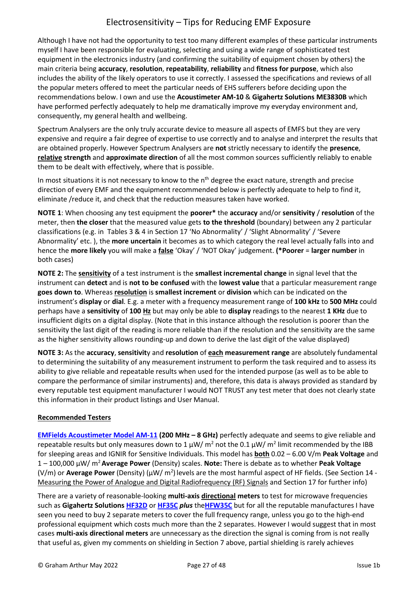Although I have not had the opportunity to test too many different examples of these particular instruments myself I have been responsible for evaluating, selecting and using a wide range of sophisticated test equipment in the electronics industry (and confirming the suitability of equipment chosen by others) the main criteria being **accuracy**, **resolution**, **repeatability**, **reliability** and **fitness for purpose**, which also includes the ability of the likely operators to use it correctly. I assessed the specifications and reviews of all the popular meters offered to meet the particular needs of EHS sufferers before deciding upon the recommendations below. I own and use the **Acoustimeter AM-10** & **Gigahertz Solutions ME3830B** which have performed perfectly adequately to help me dramatically improve my everyday environment and, consequently, my general health and wellbeing.

Spectrum Analysers are the only truly accurate device to measure all aspects of EMFS but they are very expensive and require a fair degree of expertise to use correctly and to analyse and interpret the results that are obtained properly. However Spectrum Analysers are **not** strictly necessary to identify the **presence**, **relative strength** and **approximate direction** of all the most common sources sufficiently reliably to enable them to be dealt with effectively, where that is possible.

In most situations it is not necessary to know to the  $n<sup>th</sup>$  degree the exact nature, strength and precise direction of every EMF and the equipment recommended below is perfectly adequate to help to find it, eliminate /reduce it, and check that the reduction measures taken have worked.

**NOTE 1**: When choosing any test equipment the **poorer\*** the **accuracy** and/or **sensitivity** / **resolution** of the meter, then **the closer** that the measured value gets **to the threshold** (boundary) between any 2 particular classifications (e.g. in Tables 3 & 4 in Section 17 'No Abnormality' / 'Slight Abnormality' / 'Severe Abnormality' etc. ), the **more uncertain** it becomes as to which category the real level actually falls into and hence the **more likely** you will make a **false** 'Okay' / 'NOT Okay' judgement. **(\*Poorer** = **larger number** in both cases)

**NOTE 2:** The **sensitivity** of a test instrument is the **smallest incremental change** in signal level that the instrument can **detect** and is **not to be confused** with the **lowest value** that a particular measurement range **goes down to**. Whereas **resolution** is **smallest increment** or **division** which can be indicated on the instrument's **display** or **dial**. E.g. a meter with a frequency measurement range of **100 kHz** to **500 MHz** could perhaps have a **sensitivity** of **100 Hz** but may only be able to **display** readings to the nearest **1 KHz** due to insufficient digits on a digital display. (Note that in this instance although the resolution is poorer than the sensitivity the last digit of the reading is more reliable than if the resolution and the sensitivity are the same as the higher sensitivity allows rounding-up and down to derive the last digit of the value displayed)

**NOTE 3:** As the **accuracy**, **sensitivit**y and **resolution** of **each measurement range** are absolutely fundamental to determining the suitability of any measurement instrument to perform the task required and to assess its ability to give reliable and repeatable results when used for the intended purpose (as well as to be able to compare the performance of similar instruments) and, therefore, this data is always provided as standard by every reputable test equipment manufacturer I would NOT TRUST any test meter that does not clearly state this information in their product listings and User Manual.

## **Recommended Testers**

**[EMFields Acoustimeter Model AM-11](https://emfields-solutions.com/shop/acoustimeter-am11/) (200 MHz – 8 GHz)** perfectly adequate and seems to give reliable and repeatable results but only measures down to 1  $\mu$ W/ m<sup>2</sup> not the 0.1  $\mu$ W/ m<sup>2</sup> limit recommended by the IBB for sleeping areas and IGNIR for Sensitive Individuals. This model has **both** 0.02 – 6.00 V/m **Peak Voltage** and 1 – 100,000 µW/ m<sup>2</sup>**Average Power** (Density) scales. **Note:** There is debate as to whether **Peak Voltage** (V/m) or Average Power (Density) (μW/ m<sup>2</sup>) levels are the most harmful aspect of HF fields. (See Section 14 -Measuring the Power of Analogue and Digital Radiofrequency (RF) Signals and Section 17 for further info)

There are a variety of reasonable-looking **multi-axis directional meters** to test for microwave frequencies such as **Gigahertz Solutions [HF32D](https://www.gigahertz-solutions.de/en/rf-and-emf-meters/high-frequency-rf/meters/314/hf32d)** or **[HF35C](https://www.gigahertz-solutions.de/en/rf-and-emf-meters/high-frequency-rf-br-phone-masts-smart-meters.../meters/312/hf35c)** *plus* the**[HFW35C](https://www.gigahertz-solutions.de/en/rf-and-emf-meters/high-frequency-rf-br-phone-masts-smart-meters.../meters/340/hfw35c)** but for all the reputable manufactures I have seen you need to buy 2 separate meters to cover the full frequency range, unless you go to the high-end professional equipment which costs much more than the 2 separates. However I would suggest that in most cases **multi-axis directional meters** are unnecessary as the direction the signal is coming from is not really that useful as, given my comments on shielding in Section 7 above, partial shielding is rarely achieves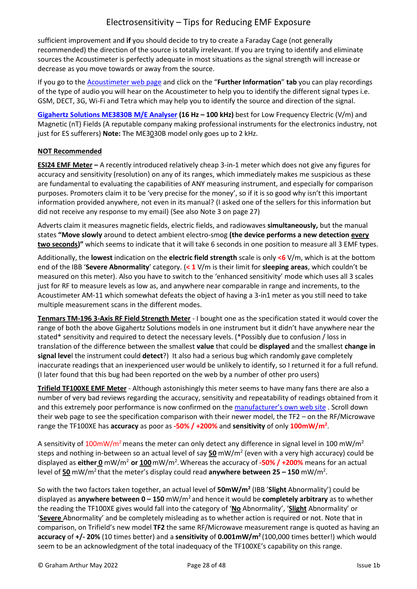sufficient improvement and **if** you should decide to try to create a Faraday Cage (not generally recommended) the direction of the source is totally irrelevant. If you are trying to identify and eliminate sources the Acoustimeter is perfectly adequate in most situations as the signal strength will increase or decrease as you move towards or away from the source.

If you go to th[e Acoustimeter](https://emfields-solutions.com/shop/acoustimeter-am11/) web page and click on the "**Further Information**" **tab** you can play recordings of the type of audio you will hear on the Acoustimeter to help you to identify the different signal types i.e. GSM, DECT, 3G, Wi-Fi and Tetra which may help you to identify the source and direction of the signal.

**[Gigahertz Solutions ME3830B M/E Analyser](https://www.gigahertz-solutions.de/en/rf-and-emf-meters/low-frequency-lfemf-br-mains-supply-dirty-power.../me-series/321/me3830b) (16 Hz – 100 kHz)** best for Low Frequency Electric (V/m) and Magnetic (nT) Fields (A reputable company making professional instruments for the electronics industry, not just for ES sufferers) **Note:** The ME3030B model only goes up to 2 kHz.

## **NOT Recommended**

**ESI24 EMF Meter –** A recently introduced relatively cheap 3-in-1 meter which does not give any figures for accuracy and sensitivity (resolution) on any of its ranges, which immediately makes me suspicious as these are fundamental to evaluating the capabilities of ANY measuring instrument, and especially for comparison purposes. Promoters claim it to be 'very precise for the money', so if it is so good why isn't this important information provided anywhere, not even in its manual? (I asked one of the sellers for this information but did not receive any response to my email) (See also Note 3 on page 27)

Adverts claim it measures magnetic fields, electric fields, and radiowaves **simultaneously,** but the manual states **"Move slowly** around to detect ambient electro-smog **(the device performs a new detection every two seconds)"** which seems to indicate that it will take 6 seconds in one position to measure all 3 EMF types.

Additionally, the **lowest** indication on the **electric field strength** scale is only **<6** V/m, which is at the bottom end of the IBB '**Severe Abnormality**' category. (**< 1** V/m is their limit for **sleeping areas**, which couldn't be measured on this meter). Also you have to switch to the 'enhanced sensitivity' mode which uses all 3 scales just for RF to measure levels as low as, and anywhere near comparable in range and increments, to the Acoustimeter AM-11 which somewhat defeats the object of having a 3-in1 meter as you still need to take multiple measurement scans in the different modes.

**Tenmars TM-196 3-Axis RF Field Strength Meter** - I bought one as the specification stated it would cover the range of both the above Gigahertz Solutions models in one instrument but it didn't have anywhere near the stated\* sensitivity and required to detect the necessary levels. (\*Possibly due to confusion / loss in translation of the difference between the smallest **value** that could be **displayed** and the smallest **change in signal leve**l the instrument could **detect**?) It also had a serious bug which randomly gave completely inaccurate readings that an inexperienced user would be unlikely to identify, so I returned it for a full refund. (I later found that this bug had been reported on the web by a number of other pro users)

**Trifield TF100XE EMF Meter** - Although astonishingly this meter seems to have many fans there are also a number of very bad reviews regarding the accuracy, sensitivity and repeatability of readings obtained from it and this extremely poor performance is now confirmed on the [manufacturer's own web site](https://www.trifield.com/) . Scroll down their web page to see the specification comparison with their newer model, the TF2 – on the RF/Microwave range the TF100XE has **accuracy** as poor as **-50% / +200%** and **sensitivity** of only **100mW/m<sup>2</sup>** .

A sensitivity of 100mW/m<sup>2</sup> means the meter can only detect any difference in signal level in 100 mW/m<sup>2</sup> steps and nothing in-between so an actual level of say **50** mW/m<sup>2</sup> (even with a very high accuracy) could be displayed as **either 0** mW/m<sup>2</sup>**or 100**mW/m<sup>2</sup> .Whereas the accuracy of **-50% / +200%** means for an actual level of 50 mW/m<sup>2</sup> that the meter's display could read anywhere between 25 – 150 mW/m<sup>2</sup>.

So with the two factors taken together, an actual level of **50mW/m<sup>2</sup>** (IBB '**Slight** Abnormality') could be displayed as **anywhere between 0 – 150** mW/m<sup>2</sup>and hence it would be **completely arbitrary** as to whether the reading the TF100XE gives would fall into the category of '**No** Abnormality', '**Slight** Abnormality' or '**Severe** Abnormality' and be completely misleading as to whether action is required or not. Note that in comparison, on Trifield's new model **TF2** the same RF/Microwave measurement range is quoted as having an **accuracy** of **+/- 20%** (10 times better) and a **sensitivity** of **0.001mW/m<sup>2</sup>** (100,000 times better!) which would seem to be an acknowledgment of the total inadequacy of the TF100XE's capability on this range.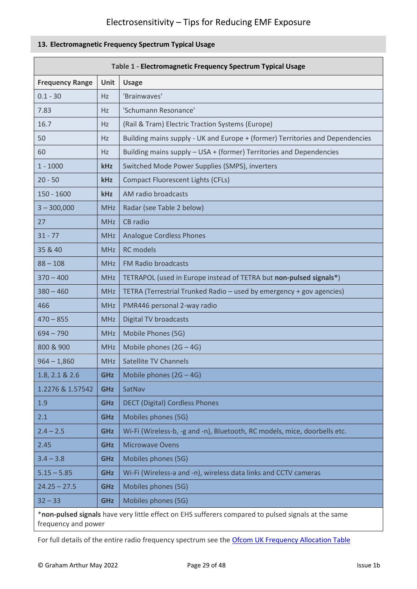## <span id="page-28-0"></span>**13. Electromagnetic Frequency Spectrum Typical Usage**

|                        | Table 1 - Electromagnetic Frequency Spectrum Typical Usage |                                                                                                     |  |  |  |  |
|------------------------|------------------------------------------------------------|-----------------------------------------------------------------------------------------------------|--|--|--|--|
| <b>Frequency Range</b> | Unit                                                       | <b>Usage</b>                                                                                        |  |  |  |  |
| $0.1 - 30$             | Hz                                                         | 'Brainwaves'                                                                                        |  |  |  |  |
| 7.83                   | Hz                                                         | 'Schumann Resonance'                                                                                |  |  |  |  |
| 16.7                   | Hz                                                         | (Rail & Tram) Electric Traction Systems (Europe)                                                    |  |  |  |  |
| 50                     | <b>Hz</b>                                                  | Building mains supply - UK and Europe + (former) Territories and Dependencies                       |  |  |  |  |
| 60                     | Hz                                                         | Building mains supply - USA + (former) Territories and Dependencies                                 |  |  |  |  |
| $1 - 1000$             | kHz                                                        | Switched Mode Power Supplies (SMPS), inverters                                                      |  |  |  |  |
| $20 - 50$              | kHz                                                        | <b>Compact Fluorescent Lights (CFLs)</b>                                                            |  |  |  |  |
| $150 - 1600$           | kHz                                                        | AM radio broadcasts                                                                                 |  |  |  |  |
| $3 - 300,000$          | <b>MHz</b>                                                 | Radar (see Table 2 below)                                                                           |  |  |  |  |
| 27                     | <b>MHz</b>                                                 | CB radio                                                                                            |  |  |  |  |
| $31 - 77$              | <b>MHz</b>                                                 | <b>Analogue Cordless Phones</b>                                                                     |  |  |  |  |
| 35 & 40                | <b>MHz</b>                                                 | <b>RC</b> models                                                                                    |  |  |  |  |
| $88 - 108$             | <b>MHz</b>                                                 | <b>FM Radio broadcasts</b>                                                                          |  |  |  |  |
| $370 - 400$            | <b>MHz</b>                                                 | TETRAPOL (used in Europe instead of TETRA but non-pulsed signals*)                                  |  |  |  |  |
| $380 - 460$            | <b>MHz</b>                                                 | TETRA (Terrestrial Trunked Radio - used by emergency + gov agencies)                                |  |  |  |  |
| 466                    | <b>MHz</b>                                                 | PMR446 personal 2-way radio                                                                         |  |  |  |  |
| $470 - 855$            | <b>MHz</b>                                                 | <b>Digital TV broadcasts</b>                                                                        |  |  |  |  |
| $694 - 790$            | <b>MHz</b>                                                 | Mobile Phones (5G)                                                                                  |  |  |  |  |
| 800 & 900              | <b>MHz</b>                                                 | Mobile phones $(2G - 4G)$                                                                           |  |  |  |  |
| $964 - 1,860$          | <b>MHz</b>                                                 | Satellite TV Channels                                                                               |  |  |  |  |
| 1.8, 2.1 & 2.6         | <b>GHz</b>                                                 | Mobile phones $(2G - 4G)$                                                                           |  |  |  |  |
| 1.2276 & 1.57542       | <b>GHz</b>                                                 | SatNav                                                                                              |  |  |  |  |
| 1.9                    | <b>GHz</b>                                                 | <b>DECT (Digital) Cordless Phones</b>                                                               |  |  |  |  |
| 2.1                    | <b>GHz</b>                                                 | Mobiles phones (5G)                                                                                 |  |  |  |  |
| $2.4 - 2.5$            | <b>GHz</b>                                                 | Wi-Fi (Wireless-b, -g and -n), Bluetooth, RC models, mice, doorbells etc.                           |  |  |  |  |
| 2.45                   | <b>GHz</b>                                                 | <b>Microwave Ovens</b>                                                                              |  |  |  |  |
| $3.4 - 3.8$            | <b>GHz</b>                                                 | Mobiles phones (5G)                                                                                 |  |  |  |  |
| $5.15 - 5.85$          | <b>GHz</b>                                                 | Wi-Fi (Wireless-a and -n), wireless data links and CCTV cameras                                     |  |  |  |  |
| $24.25 - 27.5$         | <b>GHz</b>                                                 | Mobiles phones (5G)                                                                                 |  |  |  |  |
| $32 - 33$              | <b>GHz</b>                                                 | Mobiles phones (5G)                                                                                 |  |  |  |  |
| frequency and power    |                                                            | *non-pulsed signals have very little effect on EHS sufferers compared to pulsed signals at the same |  |  |  |  |

For full details of the entire radio frequency spectrum see the [Ofcom UK Frequency Allocation Table](http://static.ofcom.org.uk/static/spectrum/fat.html)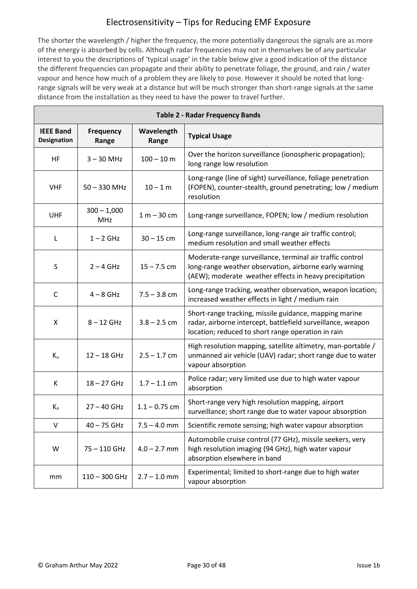The shorter the wavelength / higher the frequency, the more potentially dangerous the signals are as more of the energy is absorbed by cells. Although radar frequencies may not in themselves be of any particular interest to you the descriptions of 'typical usage' in the table below give a good indication of the distance the different frequencies can propagate and their ability to penetrate foliage, the ground, and rain / water vapour and hence how much of a problem they are likely to pose. However it should be noted that longrange signals will be very weak at a distance but will be much stronger than short-range signals at the same distance from the installation as they need to have the power to travel further.

<span id="page-29-0"></span>

|                                        | <b>Table 2 - Radar Frequency Bands</b> |                     |                                                                                                                                                                               |  |  |  |  |  |  |
|----------------------------------------|----------------------------------------|---------------------|-------------------------------------------------------------------------------------------------------------------------------------------------------------------------------|--|--|--|--|--|--|
| <b>IEEE Band</b><br><b>Designation</b> | <b>Frequency</b><br>Range              | Wavelength<br>Range | <b>Typical Usage</b>                                                                                                                                                          |  |  |  |  |  |  |
| HF                                     | $3 - 30$ MHz                           | $100 - 10 m$        | Over the horizon surveillance (ionospheric propagation);<br>long range low resolution                                                                                         |  |  |  |  |  |  |
| <b>VHF</b>                             | $50 - 330$ MHz                         | $10 - 1 m$          | Long-range (line of sight) surveillance, foliage penetration<br>(FOPEN), counter-stealth, ground penetrating; low / medium<br>resolution                                      |  |  |  |  |  |  |
| <b>UHF</b>                             | $300 - 1,000$<br><b>MHz</b>            | $1 m - 30 cm$       | Long-range surveillance, FOPEN; low / medium resolution                                                                                                                       |  |  |  |  |  |  |
| L                                      | $1 - 2$ GHz                            | $30 - 15$ cm        | Long-range surveillance, long-range air traffic control;<br>medium resolution and small weather effects                                                                       |  |  |  |  |  |  |
| $\sf S$                                | $2 - 4$ GHz                            | $15 - 7.5$ cm       | Moderate-range surveillance, terminal air traffic control<br>long-range weather observation, airborne early warning<br>(AEW); moderate weather effects in heavy precipitation |  |  |  |  |  |  |
| C                                      | $4 - 8$ GHz                            | $7.5 - 3.8$ cm      | Long-range tracking, weather observation, weapon location;<br>increased weather effects in light / medium rain                                                                |  |  |  |  |  |  |
| X                                      | $8 - 12$ GHz                           | $3.8 - 2.5$ cm      | Short-range tracking, missile guidance, mapping marine<br>radar, airborne intercept, battlefield surveillance, weapon<br>location; reduced to short range operation in rain   |  |  |  |  |  |  |
| $K_{u}$                                | $12 - 18$ GHz                          | $2.5 - 1.7$ cm      | High resolution mapping, satellite altimetry, man-portable /<br>unmanned air vehicle (UAV) radar; short range due to water<br>vapour absorption                               |  |  |  |  |  |  |
| К                                      | 18-27 GHz                              | $1.7 - 1.1$ cm      | Police radar; very limited use due to high water vapour<br>absorption                                                                                                         |  |  |  |  |  |  |
| $K_a$                                  | $27 - 40$ GHz                          | $1.1 - 0.75$ cm     | Short-range very high resolution mapping, airport<br>surveillance; short range due to water vapour absorption                                                                 |  |  |  |  |  |  |
| $\vee$                                 | 40 - 75 GHz                            | $7.5 - 4.0$ mm      | Scientific remote sensing; high water vapour absorption                                                                                                                       |  |  |  |  |  |  |
| W                                      | 75-110 GHz                             | $4.0 - 2.7$ mm      | Automobile cruise control (77 GHz), missile seekers, very<br>high resolution imaging (94 GHz), high water vapour<br>absorption elsewhere in band                              |  |  |  |  |  |  |
| mm                                     | $110 - 300$ GHz                        | $2.7 - 1.0$ mm      | Experimental; limited to short-range due to high water<br>vapour absorption                                                                                                   |  |  |  |  |  |  |

Г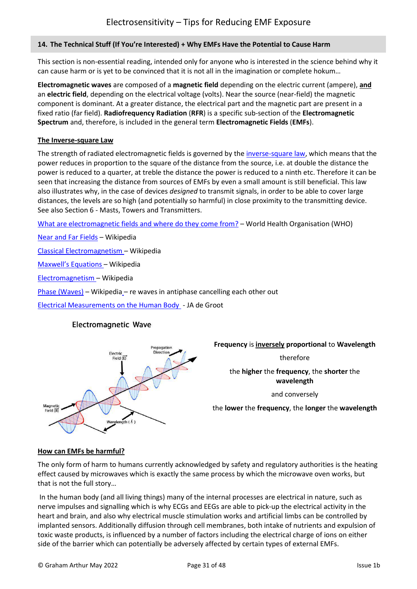### **14. The Technical Stuff (If You're Interested) + Why EMFs Have the Potential to Cause Harm**

This section is non-essential reading, intended only for anyone who is interested in the science behind why it can cause harm or is yet to be convinced that it is not all in the imagination or complete hokum…

**Electromagnetic waves** are composed of a **magnetic field** depending on the electric current (ampere), **and** an **electric field**, depending on the electrical voltage (volts). Near the source (near-field) the magnetic component is dominant. At a greater distance, the electrical part and the magnetic part are present in a fixed ratio (far field). **Radiofrequency Radiation** (**RFR**) is a specific sub-section of the **Electromagnetic Spectrum** and, therefore, is included in the general term **Electromagnetic Fields** (**EMFs**).

#### **The Inverse-square Law**

The strength of radiated electromagnetic fields is governed by the [inverse-square law,](https://en.wikipedia.org/wiki/Inverse-square_law) which means that the power reduces in proportion to the square of the distance from the source, i.e. at double the distance the power is reduced to a quarter, at treble the distance the power is reduced to a ninth etc. Therefore it can be seen that increasing the distance from sources of EMFs by even a small amount is still beneficial. This law also illustrates why, in the case of devices *designed* to transmit signals, in order to be able to cover large distances, the levels are so high (and potentially so harmful) in close proximity to the transmitting device. See also Section 6 - Masts, Towers and Transmitters.

[What are electromagnetic fields](https://www.who.int/news-room/q-a-detail/radiation-electromagnetic-fields) and where do they come from? – World Health Organisation (WHO)

[Near and Far Fields](https://en.wikipedia.org/wiki/Near_and_far_field) – Wikipedia

[Classical Electromagnetism](https://en.wikipedia.org/wiki/Classical_electromagnetism) – Wikipedia

[Maxwell's Equations](https://en.wikipedia.org/wiki/Maxwell%27s_equations) – Wikipedia

[Electromagnetism](https://en.wikipedia.org/wiki/Electromagnetism) – Wikipedia

[Phase \(Waves\)](https://en.wikipedia.org/wiki/Phase_(waves)) – Wikipedia – re waves in antiphase cancelling each other out

[Electrical Measurements on the Human Body](https://www.tue.nl/fileadmin/content/faculteiten/id/Research_DI/ElectricalMeasurementsOnTheHumanBody.pdf) - JA de Groot

## **Electromagnetic Wave**



#### **Frequency** is **inversely proportional** to **Wavelength**

therefore

the **higher** the **frequency**, the **shorter** the **wavelength**

and conversely

the **lower** the **frequency**, the **longer** the **wavelength**

#### **How can EMFs be harmful?**

The only form of harm to humans currently acknowledged by safety and regulatory authorities is the heating effect caused by microwaves which is exactly the same process by which the microwave oven works, but that is not the full story…

In the human body (and all living things) many of the internal processes are electrical in nature, such as nerve impulses and signalling which is why ECGs and EEGs are able to pick-up the electrical activity in the heart and brain, and also why electrical muscle stimulation works and artificial limbs can be controlled by implanted sensors. Additionally diffusion through cell membranes, both intake of nutrients and expulsion of toxic waste products, is influenced by a number of factors including the electrical charge of ions on either side of the barrier which can potentially be adversely affected by certain types of external EMFs.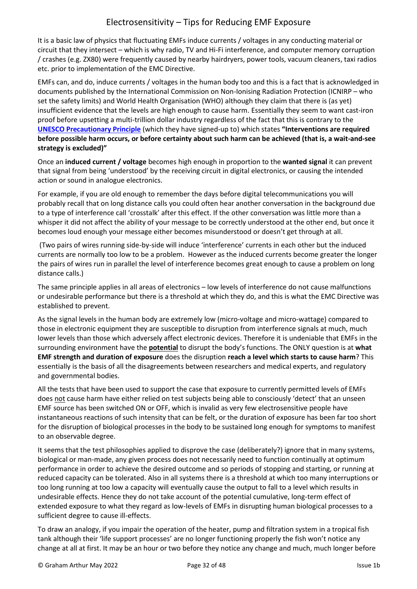It is a basic law of physics that fluctuating EMFs induce currents / voltages in any conducting material or circuit that they intersect – which is why radio, TV and Hi-Fi interference, and computer memory corruption / crashes (e.g. ZX80) were frequently caused by nearby hairdryers, power tools, vacuum cleaners, taxi radios etc. prior to implementation of the EMC Directive.

EMFs can, and do, induce currents / voltages in the human body too and this is a fact that is acknowledged in documents published by the International Commission on Non-Ionising Radiation Protection (ICNIRP – who set the safety limits) and World Health Organisation (WHO) although they claim that there is (as yet) insufficient evidence that the levels are high enough to cause harm. Essentially they seem to want cast-iron proof before upsetting a multi-trillion dollar industry regardless of the fact that this is contrary to the **[UNESCO Precautionary Principle](https://unesdoc.unesco.org/ark:/48223/pf0000139578)** (which they have signed-up to) which states **"Interventions are required before possible harm occurs, or before certainty about such harm can be achieved (that is, a wait-and-see strategy is excluded)"**

Once an **induced current / voltage** becomes high enough in proportion to the **wanted signal** it can prevent that signal from being 'understood' by the receiving circuit in digital electronics, or causing the intended action or sound in analogue electronics.

For example, if you are old enough to remember the days before digital telecommunications you will probably recall that on long distance calls you could often hear another conversation in the background due to a type of interference call 'crosstalk' after this effect. If the other conversation was little more than a whisper it did not affect the ability of your message to be correctly understood at the other end, but once it becomes loud enough your message either becomes misunderstood or doesn't get through at all.

(Two pairs of wires running side-by-side will induce 'interference' currents in each other but the induced currents are normally too low to be a problem. However as the induced currents become greater the longer the pairs of wires run in parallel the level of interference becomes great enough to cause a problem on long distance calls.)

The same principle applies in all areas of electronics – low levels of interference do not cause malfunctions or undesirable performance but there is a threshold at which they do, and this is what the EMC Directive was established to prevent.

As the signal levels in the human body are extremely low (micro-voltage and micro-wattage) compared to those in electronic equipment they are susceptible to disruption from interference signals at much, much lower levels than those which adversely affect electronic devices. Therefore it is undeniable that EMFs in the surrounding environment have the **potential** to disrupt the body's functions. The ONLY question is at **what EMF strength and duration of exposure** does the disruption **reach a level which starts to cause harm**? This essentially is the basis of all the disagreements between researchers and medical experts, and regulatory and governmental bodies.

All the tests that have been used to support the case that exposure to currently permitted levels of EMFs does not cause harm have either relied on test subjects being able to consciously 'detect' that an unseen EMF source has been switched ON or OFF, which is invalid as very few electrosensitive people have instantaneous reactions of such intensity that can be felt, or the duration of exposure has been far too short for the disruption of biological processes in the body to be sustained long enough for symptoms to manifest to an observable degree.

It seems that the test philosophies applied to disprove the case (deliberately?) ignore that in many systems, biological or man-made, any given process does not necessarily need to function continually at optimum performance in order to achieve the desired outcome and so periods of stopping and starting, or running at reduced capacity can be tolerated. Also in all systems there is a threshold at which too many interruptions or too long running at too low a capacity will eventually cause the output to fall to a level which results in undesirable effects. Hence they do not take account of the potential cumulative, long-term effect of extended exposure to what they regard as low-levels of EMFs in disrupting human biological processes to a sufficient degree to cause ill-effects.

To draw an analogy, if you impair the operation of the heater, pump and filtration system in a tropical fish tank although their 'life support processes' are no longer functioning properly the fish won't notice any change at all at first. It may be an hour or two before they notice any change and much, much longer before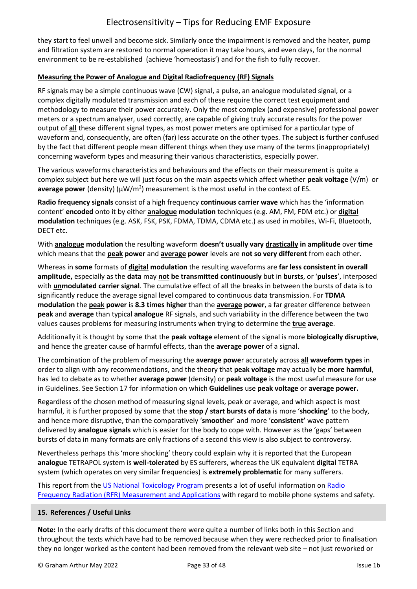they start to feel unwell and become sick. Similarly once the impairment is removed and the heater, pump and filtration system are restored to normal operation it may take hours, and even days, for the normal environment to be re-established (achieve 'homeostasis') and for the fish to fully recover.

### **Measuring the Power of Analogue and Digital Radiofrequency (RF) Signals**

RF signals may be a simple continuous wave (CW) signal, a pulse, an analogue modulated signal, or a complex digitally modulated transmission and each of these require the correct test equipment and methodology to measure their power accurately. Only the most complex (and expensive) professional power meters or a spectrum analyser, used correctly, are capable of giving truly accurate results for the power output of **all** these different signal types, as most power meters are optimised for a particular type of waveform and, consequently, are often (far) less accurate on the other types. The subject is further confused by the fact that different people mean different things when they use many of the terms (inappropriately) concerning waveform types and measuring their various characteristics, especially power.

The various waveforms characteristics and behaviours and the effects on their measurement is quite a complex subject but here we will just focus on the main aspects which affect whether **peak voltage** (V/m) or average power (density) ( $\mu$ W/m<sup>2</sup>) measurement is the most useful in the context of ES.

**Radio frequency signals** consist of a high frequency **continuous carrier wave** which has the 'information content' **encoded** onto it by either **analogue modulation** techniques (e.g. AM, FM, FDM etc.) or **digital modulation** techniques (e.g. ASK, FSK, PSK, FDMA, TDMA, CDMA etc.) as used in mobiles, Wi-Fi, Bluetooth, DECT etc.

With **analogue modulation** the resulting waveform **doesn't usually vary drastically in amplitude** over **time** which means that the **peak power** and **average power** levels are **not so very different** from each other.

Whereas in **some** formats of **digital modulation** the resulting waveforms are **far less consistent in overall amplitude,** especially as the **data** may **not be transmitted continuously** but in **bursts**, or '**pulses**', interposed with **unmodulated carrier signal**. The cumulative effect of all the breaks in between the bursts of data is to significantly reduce the average signal level compared to continuous data transmission. For **TDMA modulation** the **peak power** is **8.3 times higher** than the **average power**, a far greater difference between **peak** and **average** than typical **analogue** RF signals, and such variability in the difference between the two values causes problems for measuring instruments when trying to determine the **true average**.

Additionally it is thought by some that the **peak voltage** element of the signal is more **biologically disruptive**, and hence the greater cause of harmful effects, than the **average power** of a signal.

The combination of the problem of measuring the **average powe**r accurately across **all waveform types** in order to align with any recommendations, and the theory that **peak voltage** may actually be **more harmful**, has led to debate as to whether **average power** (density) or **peak voltage** is the most useful measure for use in Guidelines. See Section 17 for information on which **Guidelines** use **peak voltage** or **average power.**

Regardless of the chosen method of measuring signal levels, peak or average, and which aspect is most harmful, it is further proposed by some that the **stop / start bursts of data** is more '**shocking**' to the body, and hence more disruptive, than the comparatively '**smoother**' and more '**consistent'** wave pattern delivered by **analogue signals** which is easier for the body to cope with. However as the 'gaps' between bursts of data in many formats are only fractions of a second this view is also subject to controversy.

Nevertheless perhaps this 'more shocking' theory could explain why it is reported that the European **analogue** TETRAPOL system is **well-tolerated** by ES sufferers, whereas the UK equivalent **digital** TETRA system (which operates on very similar frequencies) is **extremely problematic** for many sufferers.

This report from the [US National Toxicology Program](https://www.ncbi.nlm.nih.gov/books/NBK561723/) presents a lot of useful information on Radio [Frequency Radiation \(RFR\) Measurement and Applications](https://www.ncbi.nlm.nih.gov/books/NBK561723/#_S8_) with regard to mobile phone systems and safety.

#### <span id="page-32-0"></span>**15. References / Useful Links**

**Note:** In the early drafts of this document there were quite a number of links both in this Section and throughout the texts which have had to be removed because when they were rechecked prior to finalisation they no longer worked as the content had been removed from the relevant web site – not just reworked or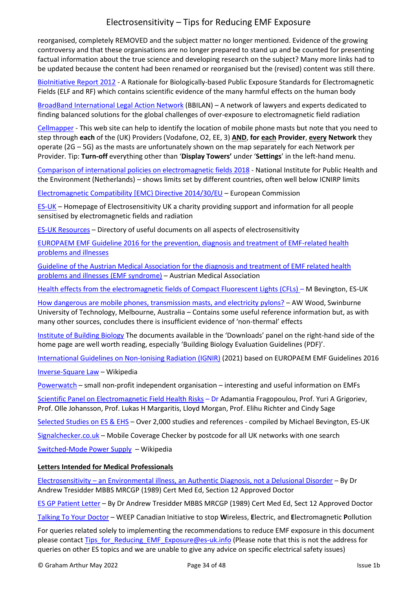reorganised, completely REMOVED and the subject matter no longer mentioned. Evidence of the growing controversy and that these organisations are no longer prepared to stand up and be counted for presenting factual information about the true science and developing research on the subject? Many more links had to be updated because the content had been renamed or reorganised but the (revised) content was still there.

[BioInitiative Report 2012](https://bioinitiative.org/) - A Rationale for Biologically-based Public Exposure Standards for Electromagnetic Fields (ELF and RF) which contains scientific evidence of the many harmful effects on the human body

[BroadBand International Legal Action Network](https://www.bbilan.org/) (BBILAN) – A network of lawyers and experts dedicated to finding balanced solutions for the global challenges of over-exposure to electromagnetic field radiation

[Cellmapper](https://www.cellmapper.net/map?MCC=234&MNC=15&type=LTE&latitude=54.22155668244497&longitude=-3.097866644538247&zoom=9.03283449237667&showTowers=true&showTowerLabels=true&clusterEnabled=true&tilesEnabled=true&showOrphans=false&showNoFrequencyOnly=false&showFrequencyOnly=false&showBandwidthOnly=false&DateFilterType=FirstSeen&showHex=false&showVerifiedOnly=false&showUnverifiedOnly=false&showLTECAOnly=false&showENDCOnly=false&showBand=0&showSectorColours=true&mapType=roadmap) - This web site can help to identify the location of mobile phone masts but note that you need to step through **each** of the (UK) Providers (Vodafone, O2, EE, 3) **AND**, **for each Provider**, **every Network** they operate (2G – 5G) as the masts are unfortunately shown on the map separately for each Network per Provider. Tip: **Turn-off** everything other than '**Display Towers'** under '**Settings**' in the left-hand menu.

[Comparison of international policies on electromagnetic fields](https://www.google.com/url?sa=t&rct=j&q=&esrc=s&source=web&cd=&cad=rja&uact=8&ved=2ahUKEwj99rvWnIPzAhW9EWMBHad2DkEQFnoECAYQAQ&url=https%3A%2F%2Fwww.rivm.nl%2Fsites%2Fdefault%2Ffiles%2F2018-11%2FComparison%2520of%2520international%2520policies%2520on%2520electromagnetic%2520fields%25202018.pdf&usg=AOvVaw1EfpU7VCyRljC-XjEWw47c) 2018 - National Institute for Public Health and the Environment (Netherlands) – shows limits set by different countries, often well below ICNIRP limits

[Electromagnetic Compatibility \[EMC} Directive 2014/30/EU](http://ec.europa.eu/growth/sectors/electrical-engineering/emc-directive_en) – European Commission

[ES-UK](https://www.es-uk.info/newsletters/) – Homepage of Electrosensitivity UK a charity providing support and information for all people sensitised by electromagnetic fields and radiation

[ES-UK Resources](https://www.es-uk.info/resources/) – Directory of useful documents on all aspects of electrosensitivity

[EUROPAEM EMF Guideline 2016 for the prevention, diagnosis and treatment of EMF-related health](https://europaem.eu/en/library/articles/europaem-emf-guideline-2016)  [problems and illnesses](https://europaem.eu/en/library/articles/europaem-emf-guideline-2016)

[Guideline of the Austrian Medical Association for the diagnosis and treatment of EMF related health](http://freiburger-appell-2012.info/media/EMF%20Guideline%20OAK-AG%20%202012%2003%2003.pdf)  [problems and illnesses \(EMF syndrome\)](http://freiburger-appell-2012.info/media/EMF%20Guideline%20OAK-AG%20%202012%2003%2003.pdf) – Austrian Medical Association

[Health effects from the electromagnetic fields of Compact Fluorescent Lights \(CFLs\)](http://www.es-uk.info/wp-content/uploads/2018/05/Health%20effects%20from%20the%20electromagnetic%20fields%20of%20CFLs.pdf) - M Bevington, ES-UK

[How dangerous are mobile phones, transmission masts, and electricity pylons?](https://www.ncbi.nlm.nih.gov/pmc/articles/PMC2065971/) – AW Wood, Swinburne University of Technology, Melbourne, Australia – Contains some useful reference information but, as with many other sources, concludes there is insufficient evidence of 'non-thermal' effects

[Institute of Building Biology](https://buildingbiology.com/building-biology-standard/) The documents available in the 'Downloads' panel on the right-hand side of the home page are well worth reading, especially 'Building Biology Evaluation Guidelines (PDF)'.

[International Guidelines on Non-Ionising Radiation \(IGNIR\)](https://ignir.org/?page_id=8) (2021) based on EUROPAEM EMF Guidelines 2016

[Inverse-Square Law](https://en.wikipedia.org/wiki/Inverse-square_law) – Wikipedia

[Powerwatch](https://www.powerwatch.org.uk/) – small non-profit independent organisation – interesting and useful information on EMFs

[Scientific Panel on Electromagnetic Field Health Risks](http://emfsafetynetwork.org/wp-content/uploads/2011/07/Seletun-Statement-2010.pdf) – Dr Adamantia Fragopoulou, Prof. Yuri A Grigoriev, Prof. Olle Johansson, Prof. Lukas H Margaritis, Lloyd Morgan, Prof. Elihu Richter and Cindy Sage

[Selected Studies on ES & EHS](http://www.es-uk.info/wp-content/uploads/2018/11/02.3-Selected-ES-and-EHS-Studies-2018.pdf) – Over 2,000 studies and references - compiled by Michael Bevington, ES-UK

[Signalchecker.co.uk](https://www.signalchecker.co.uk/) – Mobile Coverage Checker by postcode for all UK networks with one search

[Switched-Mode Power Supply](https://en.wikipedia.org/wiki/Switched-mode_power_supply) – Wikipedia

#### **Letters Intended for Medical Professionals**

Electrosensitivity – [an Environmental illness, an Authentic Diagnosis, not a Delusional Disorder](http://www.es-uk.info/wp-content/uploads/2020/12/ES-letter-psych-paper-Novengineers-2018.pdf) – By Dr Andrew Tresidder MBBS MRCGP (1989) Cert Med Ed, Section 12 Approved Doctor

[ES GP Patient Letter](http://www.es-uk.info/wp-content/uploads/2020/07/ES-GP-patient-letter-June-20.pdf) – By Dr Andrew Tresidder MBBS MRCGP (1989) Cert Med Ed, Sect 12 Approved Doctor

<span id="page-33-0"></span>[Talking To Your Doctor](http://weepinitiative.org/talkingtoyourdoctor.pdf) – WEEP Canadian Initiative to stop **W**ireless, **E**lectric, and **E**lectromagnetic **P**ollution

For queries related solely to implementing the recommendations to reduce EMF exposure in this document please contact [Tips\\_for\\_Reducing\\_EMF\\_Exposure@es-uk.info](mailto:Tips_for_Reducing_EMF_Exposure@es-uk.info) (Please note that this is not the address for queries on other ES topics and we are unable to give any advice on specific electrical safety issues)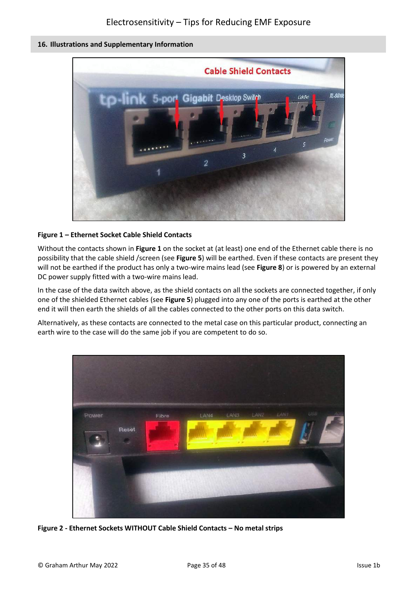### **16. Illustrations and Supplementary Information**



### **Figure 1 – Ethernet Socket Cable Shield Contacts**

Without the contacts shown in **Figure 1** on the socket at (at least) one end of the Ethernet cable there is no possibility that the cable shield /screen (see **Figure 5**) will be earthed. Even if these contacts are present they will not be earthed if the product has only a two-wire mains lead (see **Figure 8**) or is powered by an external DC power supply fitted with a two-wire mains lead.

In the case of the data switch above, as the shield contacts on all the sockets are connected together, if only one of the shielded Ethernet cables (see **Figure 5**) plugged into any one of the ports is earthed at the other end it will then earth the shields of all the cables connected to the other ports on this data switch.

Alternatively, as these contacts are connected to the metal case on this particular product, connecting an earth wire to the case will do the same job if you are competent to do so.



**Figure 2 - Ethernet Sockets WITHOUT Cable Shield Contacts – No metal strips**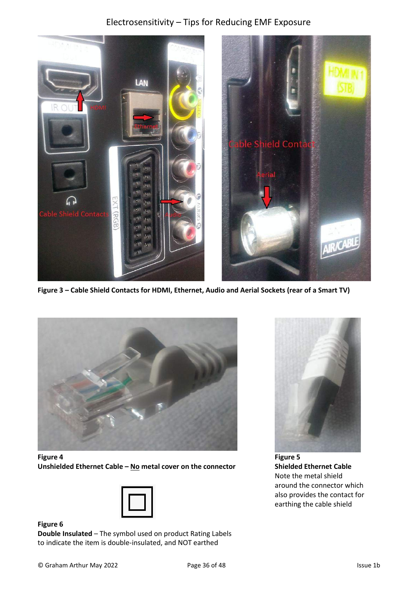

**Figure 3 – Cable Shield Contacts for HDMI, Ethernet, Audio and Aerial Sockets (rear of a Smart TV)**



**Figure 4 Unshielded Ethernet Cable – No metal cover on the connector**



**Figure 6**

**Double Insulated** – The symbol used on product Rating Labels to indicate the item is double-insulated, and NOT earthed



**Figure 5 Shielded Ethernet Cable** Note the metal shield around the connector which also provides the contact for earthing the cable shield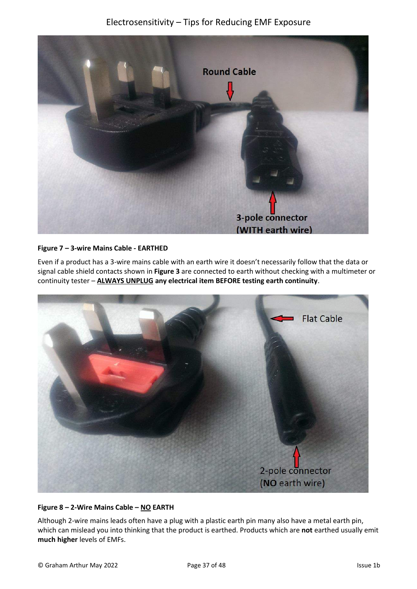

#### **Figure 7 – 3-wire Mains Cable - EARTHED**

Even if a product has a 3-wire mains cable with an earth wire it doesn't necessarily follow that the data or signal cable shield contacts shown in **Figure 3** are connected to earth without checking with a multimeter or continuity tester – **ALWAYS UNPLUG any electrical item BEFORE testing earth continuity**.



#### **Figure 8 – 2-Wire Mains Cable – NO EARTH**

Although 2-wire mains leads often have a plug with a plastic earth pin many also have a metal earth pin, which can mislead you into thinking that the product is earthed. Products which are **not** earthed usually emit **much higher** levels of EMFs.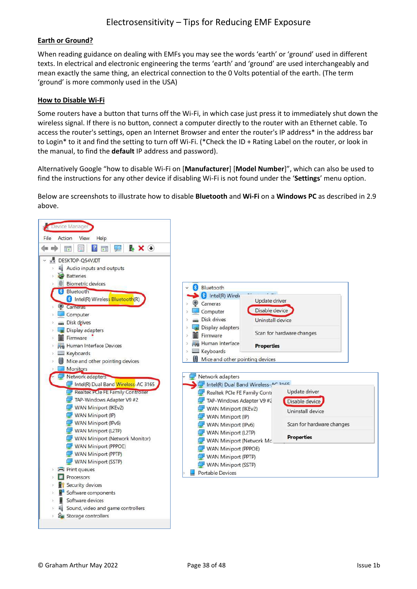#### **Earth or Ground?**

When reading guidance on dealing with EMFs you may see the words 'earth' or 'ground' used in different texts. In electrical and electronic engineering the terms 'earth' and 'ground' are used interchangeably and mean exactly the same thing, an electrical connection to the 0 Volts potential of the earth. (The term 'ground' is more commonly used in the USA)

#### **How to Disable Wi-Fi**

Some routers have a button that turns off the Wi-Fi, in which case just press it to immediately shut down the wireless signal. If there is no button, connect a computer directly to the router with an Ethernet cable. To access the router's settings, open an Internet Browser and enter the router's IP address\* in the address bar to Login\* to it and find the setting to turn off Wi-Fi. (\*Check the ID + Rating Label on the router, or look in the manual, to find the **default** IP address and password).

Alternatively Google "how to disable Wi-Fi on [**Manufacturer**] [**Model Number**]", which can also be used to find the instructions for any other device if disabling Wi-Fi is not found under the '**Settings**' menu option.

Below are screenshots to illustrate how to disable **Bluetooth** and **Wi-Fi** on a **Windows PC** as described in 2.9 above.

<span id="page-37-0"></span>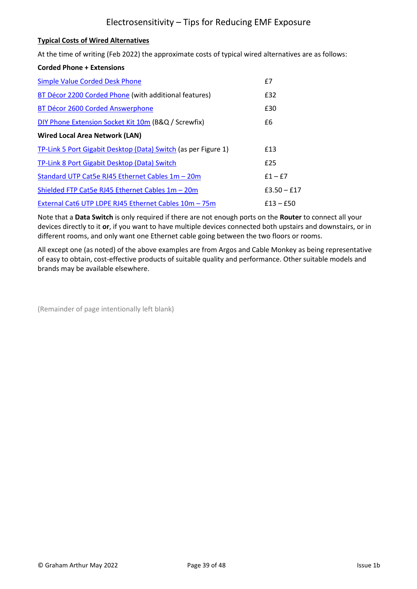#### **Typical Costs of Wired Alternatives**

At the time of writing (Feb 2022) the approximate costs of typical wired alternatives are as follows:

#### **Corded Phone + Extensions**

| <b>Simple Value Corded Desk Phone</b>                          | $f$ 7         |
|----------------------------------------------------------------|---------------|
| BT Décor 2200 Corded Phone (with additional features)          | £32           |
| BT Décor 2600 Corded Answerphone                               | £30           |
| DIY Phone Extension Socket Kit 10m (B&Q / Screwfix)            | £6            |
| Wired Local Area Network (LAN)                                 |               |
| TP-Link 5 Port Gigabit Desktop (Data) Switch (as per Figure 1) | £13           |
| TP-Link 8 Port Gigabit Desktop (Data) Switch                   | £25           |
| Standard UTP Cat5e RJ45 Ethernet Cables 1m - 20m               | $f1-f7$       |
| Shielded FTP Cat5e RJ45 Ethernet Cables 1m - 20m               | $£3.50 - £17$ |
| External Cat6 UTP LDPE RJ45 Ethernet Cables 10m - 75m          | $£13 - £50$   |

Note that a **Data Switch** is only required if there are not enough ports on the **Router** to connect all your devices directly to it **or**, if you want to have multiple devices connected both upstairs and downstairs, or in different rooms, and only want one Ethernet cable going between the two floors or rooms.

All except one (as noted) of the above examples are from Argos and Cable Monkey as being representative of easy to obtain, cost-effective products of suitable quality and performance. Other suitable models and brands may be available elsewhere.

(Remainder of page intentionally left blank)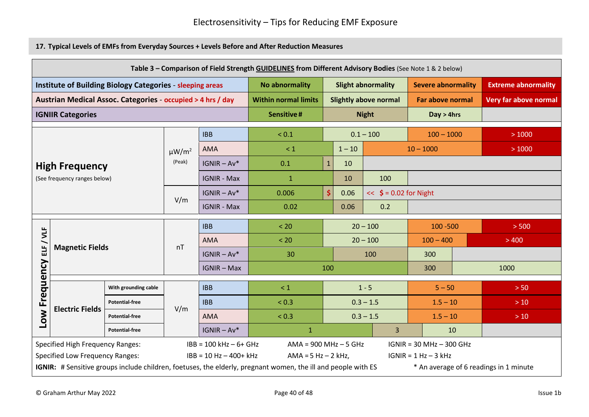**17. Typical Levels of EMFs from Everyday Sources + Levels Before and After Reduction Measures**

|                          | Table 3 - Comparison of Field Strength GUIDELINES from Different Advisory Bodies (See Note 1 & 2 below) |                                                                  |               |                           |                                                                                                               |                           |                          |                              |                            |                            |                                        |
|--------------------------|---------------------------------------------------------------------------------------------------------|------------------------------------------------------------------|---------------|---------------------------|---------------------------------------------------------------------------------------------------------------|---------------------------|--------------------------|------------------------------|----------------------------|----------------------------|----------------------------------------|
|                          |                                                                                                         | <b>Institute of Building Biology Categories - sleeping areas</b> |               |                           | <b>No abnormality</b>                                                                                         | <b>Slight abnormality</b> |                          | <b>Severe abnormality</b>    |                            | <b>Extreme abnormality</b> |                                        |
|                          |                                                                                                         | Austrian Medical Assoc. Categories - occupied > 4 hrs / day      |               |                           | <b>Within normal limits</b>                                                                                   |                           |                          | <b>Slightly above normal</b> | <b>Far above normal</b>    |                            | Very far above normal                  |
| <b>IGNIIR Categories</b> |                                                                                                         | <b>Sensitive#</b>                                                |               |                           | <b>Night</b>                                                                                                  | Day > 4hrs                |                          |                              |                            |                            |                                        |
| <b>IBB</b>               |                                                                                                         | ${}_{0.1}$                                                       |               |                           | $0.1 - 100$                                                                                                   | $100 - 1000$              |                          | >1000                        |                            |                            |                                        |
|                          |                                                                                                         |                                                                  | $\mu W/m^2$   | <b>AMA</b>                | $\leq 1$                                                                                                      |                           | $1 - 10$                 |                              | $10 - 1000$                |                            | >1000                                  |
|                          | <b>High Frequency</b>                                                                                   |                                                                  | (Peak)        | $IGNIR - Av*$             | 0.1                                                                                                           | $\mathbf{1}$              | 10                       |                              |                            |                            |                                        |
|                          | (See frequency ranges below)                                                                            |                                                                  |               | <b>IGNIR - Max</b>        | $\mathbf{1}$                                                                                                  |                           | 10                       | 100                          |                            |                            |                                        |
|                          |                                                                                                         |                                                                  | $IGNIR - Av*$ | 0.006                     | \$                                                                                                            | 0.06                      | $<<$ \$ = 0.02 for Night |                              |                            |                            |                                        |
|                          |                                                                                                         |                                                                  | V/m           | <b>IGNIR - Max</b>        | 0.02                                                                                                          |                           | 0.06                     | 0.2                          |                            |                            |                                        |
|                          |                                                                                                         |                                                                  |               | <b>IBB</b>                | < 20                                                                                                          |                           |                          | $20 - 100$                   | $100 - 500$                |                            | > 500                                  |
| / VLF                    |                                                                                                         |                                                                  |               | <b>AMA</b>                | < 20                                                                                                          |                           | $20 - 100$               |                              | $100 - 400$                |                            | >400                                   |
|                          | <b>Magnetic Fields</b>                                                                                  |                                                                  | nT            | $IGNIR - Av*$             | 30                                                                                                            |                           |                          | 100                          | 300                        |                            |                                        |
|                          |                                                                                                         |                                                                  |               | <b>IGNIR - Max</b>        |                                                                                                               | 100                       |                          |                              | 300                        |                            | 1000                                   |
| Low Frequency ELF        |                                                                                                         | With grounding cable                                             |               | <b>IBB</b>                | $\leq 1$                                                                                                      |                           |                          | $1 - 5$                      | $5 - 50$                   |                            | > 50                                   |
|                          |                                                                                                         | <b>Potential-free</b>                                            |               | <b>IBB</b>                | ${}_{0.3}$                                                                                                    |                           |                          | $0.3 - 1.5$                  | $1.5 - 10$                 |                            | $>10$                                  |
|                          | <b>Electric Fields</b>                                                                                  | <b>Potential-free</b>                                            | V/m           | <b>AMA</b>                | ${}_{0.3}$                                                                                                    |                           |                          | $0.3 - 1.5$                  | $1.5 - 10$                 |                            | $>10$                                  |
|                          |                                                                                                         | <b>Potential-free</b>                                            |               | $IGNIR - Av*$             | $\mathbf{1}$                                                                                                  |                           |                          | 3                            |                            | 10                         |                                        |
|                          | <b>Specified High Frequency Ranges:</b>                                                                 |                                                                  |               | $IBB = 100 kHz - 6 + GHz$ | $AMA = 900 MHz - 5 GHz$                                                                                       |                           |                          |                              | $IGNIR = 30 MHz - 300 GHz$ |                            |                                        |
|                          | <b>Specified Low Frequency Ranges:</b>                                                                  |                                                                  |               | $IBB = 10 Hz - 400+ kHz$  | $AMA = 5 Hz - 2 kHz$ ,                                                                                        |                           |                          |                              | $IGNIR = 1 Hz - 3 kHz$     |                            |                                        |
|                          |                                                                                                         |                                                                  |               |                           | IGNIR: # Sensitive groups include children, foetuses, the elderly, pregnant women, the ill and people with ES |                           |                          |                              |                            |                            | * An average of 6 readings in 1 minute |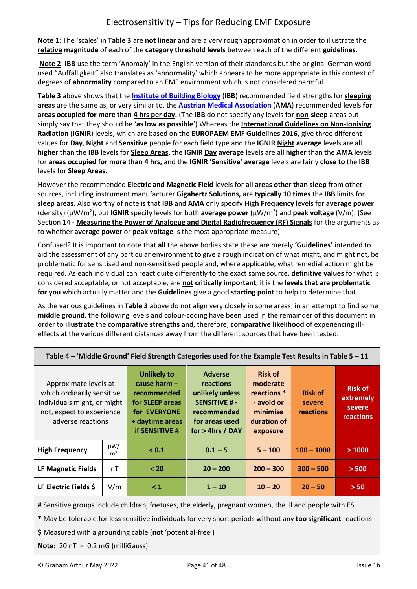**Note 1**: The 'scales' in **Table 3** are **not linear** and are a very rough approximation in order to illustrate the **relative magnitude** of each of the **category threshold levels** between each of the different **guidelines**.

**Note 2**: **IBB** use the term 'Anomaly' in the English version of their standards but the original German word used "Auffälligkeit" also translates as 'abnormality' which appears to be more appropriate in this context of degrees of **abnormality** compared to an EMF environment which is not considered harmful.

**Table 3** above shows that the **[Institute of Building Biology](https://buildingbiology.com/)** (**IBB**) recommended field strengths for **sleeping areas** are the same as, or very similar to, the **[Austrian Medical Association](http://freiburger-appell-2012.info/media/EMF%20Guideline%20OAK-AG%20%202012%2003%2003.pdf)** (**AMA**) recommended levels **for areas occupied for more than 4 hrs per day.** (The **IBB** do not specify any levels for **non-sleep** areas but simply say that they should be '**as low as possible**') Whereas the **[International Guidelines on Non-Ionising](https://ignir.org/?page_id=8)  [Radiation](https://ignir.org/?page_id=8)** (**IGNIR**) levels, which are based on the **EUROPAEM EMF Guidelines 2016**, give three different values for **Day**, **Night** and **Sensitive** people for each field type and the **IGNIR Night average** levels are all **higher** than the **IBB** levels for **Sleep Areas,** the **IGNIR Day average** levels are all **higher** than the **AMA** levels for **areas occupied for more than 4 hrs,** and the **IGNIR 'Sensitive' average** levels are fairly **close to** the **IBB** levels for **Sleep Areas.**

However the recommended **Electric and Magnetic Field** levels for **all areas other than sleep** from other sources, including instrument manufacturer **Gigahertz Solutions,** are **typically 10 times** the **IBB** limits for **sleep areas**. Also worthy of note is that **IBB** and **AMA** only specify **High Frequency** levels for **average power**  (density) (µW/m<sup>2</sup> ), but **IGNIR** specify levels for both **average power** (µW/m<sup>2</sup> ) and **peak voltage** (V/m). (See Section 14 - **Measuring the Power of Analogue and Digital Radiofrequency (RF) Signals** for the arguments as to whether **average power** or **peak voltage** is the most appropriate measure)

Confused? It is important to note that **all** the above bodies state these are merely **'Guidelines'** intended to aid the assessment of any particular environment to give a rough indication of what might, and might not, be problematic for sensitised and non-sensitised people and, where applicable, what remedial action might be required. As each individual can react quite differently to the exact same source, **definitive values** for what is considered acceptable, or not acceptable, are **not critically important**, it is the **levels that are problematic for you** which actually matter and the **Guidelines** give a good **starting point** to help to determine that.

As the various guidelines in **Table 3** above do not align very closely in some areas, in an attempt to find some **middle ground**, the following levels and colour-coding have been used in the remainder of this document in order to **illustrate** the **comparative strengths** and, therefore, **comparative likelihood** of experiencing illeffects at the various different distances away from the different sources that have been tested.

| Approximate levels at<br>which ordinarily sensitive<br>individuals might, or might<br>not, expect to experience<br>adverse reactions |                            | <b>Unlikely to</b><br>cause harm $-$<br>recommended<br>for SLEEP areas<br>for EVERYONE<br>+ daytime areas<br><b>if SENSITIVE #</b> | <b>Adverse</b><br>reactions<br>unlikely unless<br><b>SENSITIVE #-</b><br>recommended<br>for areas used<br>$for > 4$ hrs / DAY | <b>Risk of</b><br>moderate<br>reactions *<br>- avoid or<br>minimise<br>duration of<br>exposure | <b>Risk of</b><br>severe<br>reactions | <b>Risk of</b><br>extremely<br>severe<br>reactions |
|--------------------------------------------------------------------------------------------------------------------------------------|----------------------------|------------------------------------------------------------------------------------------------------------------------------------|-------------------------------------------------------------------------------------------------------------------------------|------------------------------------------------------------------------------------------------|---------------------------------------|----------------------------------------------------|
| <b>High Frequency</b>                                                                                                                | $\mu W/$<br>m <sup>2</sup> | < 0.1                                                                                                                              | $0.1 - 5$                                                                                                                     | $5 - 100$                                                                                      | $100 - 1000$                          | >1000                                              |
| LF Magnetic Fields                                                                                                                   | nT                         | < 20                                                                                                                               | $20 - 200$                                                                                                                    | $200 - 300$                                                                                    | $300 - 500$                           | > 500                                              |
| LF Electric Fields \$                                                                                                                | V/m                        | $\leq 1$                                                                                                                           | $1 - 10$                                                                                                                      | $10 - 20$                                                                                      | $20 - 50$                             | > 50                                               |

**Table 4 – 'Middle Ground' Field Strength Categories used for the Example Test Results in Table 5 – 11**

**#** Sensitive groups include children, foetuses, the elderly, pregnant women, the ill and people with ES

**\*** May be tolerable for less sensitive individuals for very short periods without any **too significant** reactions

**\$** Measured with a grounding cable (**not** 'potential-free')

**Note:** 20 nT = 0.2 mG (milliGauss)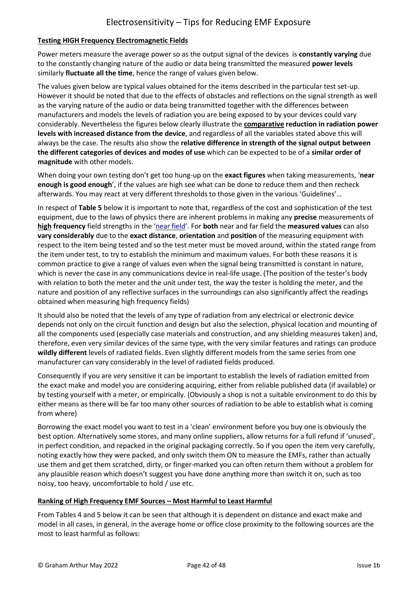## **Testing HIGH Frequency Electromagnetic Fields**

Power meters measure the average power so as the output signal of the devices is **constantly varying** due to the constantly changing nature of the audio or data being transmitted the measured **power levels** similarly **fluctuate all the time**, hence the range of values given below.

The values given below are typical values obtained for the items described in the particular test set-up. However it should be noted that due to the effects of obstacles and reflections on the signal strength as well as the varying nature of the audio or data being transmitted together with the differences between manufacturers and models the levels of radiation you are being exposed to by your devices could vary considerably. Nevertheless the figures below clearly illustrate the **comparative reduction in radiation power levels with increased distance from the device**, and regardless of all the variables stated above this will always be the case. The results also show the **relative difference in strength of the signal output between the different categories of devices and modes of use** which can be expected to be of a **similar order of magnitude** with other models.

When doing your own testing don't get too hung-up on the **exact figures** when taking measurements, '**near enough is good enough**', if the values are high see what can be done to reduce them and then recheck afterwards. You may react at very different thresholds to those given in the various 'Guidelines'…

In respect of **Table 5** below it is important to note that, regardless of the cost and sophistication of the test equipment, due to the laws of physics there are inherent problems in making any **precise** measurements of **high frequency** field strengths in the '[near field](https://en.wikipedia.org/wiki/Near_and_far_field)'. For **both** near and far field the **measured values** can also **vary considerably** due to the **exact distance**, **orientation** and **position** of the measuring equipment with respect to the item being tested and so the test meter must be moved around, within the stated range from the item under test, to try to establish the minimum and maximum values. For both these reasons it is common practice to give a range of values even when the signal being transmitted is constant in nature, which is never the case in any communications device in real-life usage. (The position of the tester's body with relation to both the meter and the unit under test, the way the tester is holding the meter, and the nature and position of any reflective surfaces in the surroundings can also significantly affect the readings obtained when measuring high frequency fields)

It should also be noted that the levels of any type of radiation from any electrical or electronic device depends not only on the circuit function and design but also the selection, physical location and mounting of all the components used (especially case materials and construction, and any shielding measures taken) and, therefore, even very similar devices of the same type, with the very similar features and ratings can produce **wildly different** levels of radiated fields. Even slightly different models from the same series from one manufacturer can vary considerably in the level of radiated fields produced.

Consequently if you are very sensitive it can be important to establish the levels of radiation emitted from the exact make and model you are considering acquiring, either from reliable published data (if available) or by testing yourself with a meter, or empirically. (Obviously a shop is not a suitable environment to do this by either means as there will be far too many other sources of radiation to be able to establish what is coming from where)

Borrowing the exact model you want to test in a 'clean' environment before you buy one is obviously the best option. Alternatively some stores, and many online suppliers, allow returns for a full refund if 'unused', in perfect condition, and repacked in the original packaging correctly. So if you open the item very carefully, noting exactly how they were packed, and only switch them ON to measure the EMFs, rather than actually use them and get them scratched, dirty, or finger-marked you can often return them without a problem for any plausible reason which doesn't suggest you have done anything more than switch it on, such as too noisy, too heavy, uncomfortable to hold / use etc.

## **Ranking of High Frequency EMF Sources – Most Harmful to Least Harmful**

From Tables 4 and 5 below it can be seen that although it is dependent on distance and exact make and model in all cases, in general, in the average home or office close proximity to the following sources are the most to least harmful as follows: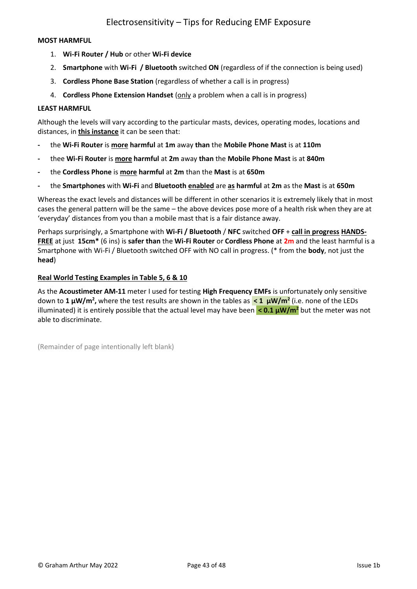#### **MOST HARMFUL**

- 1. **Wi-Fi Router / Hub** or other **Wi-Fi device**
- 2. **Smartphone** with **Wi-Fi / Bluetooth** switched **ON** (regardless of if the connection is being used)
- 3. **Cordless Phone Base Station** (regardless of whether a call is in progress)
- 4. **Cordless Phone Extension Handset** (only a problem when a call is in progress)

#### **LEAST HARMFUL**

Although the levels will vary according to the particular masts, devices, operating modes, locations and distances, in **this instance** it can be seen that:

- **-** the **Wi-Fi Router** is **more harmful** at **1m** away **than** the **Mobile Phone Mast** is at **110m**
- **-** thee **Wi-Fi Router** is **more harmful** at **2m** away **than** the **Mobile Phone Mast** is at **840m**
- **-** the **Cordless Phone** is **more harmful** at **2m** than the **Mast** is at **650m**
- **-** the **Smartphones** with **Wi-Fi** and **Bluetooth enabled** are **as harmful** at **2m** as the **Mast** is at **650m**

Whereas the exact levels and distances will be different in other scenarios it is extremely likely that in most cases the general pattern will be the same – the above devices pose more of a health risk when they are at 'everyday' distances from you than a mobile mast that is a fair distance away.

Perhaps surprisingly, a Smartphone with **Wi-Fi / Bluetooth** / **NFC** switched **OFF** + **call in progress HANDS-FREE** at just **15cm\*** (6 ins) is **safer than** the **Wi-Fi Router** or **Cordless Phone** at **2m** and the least harmful is a Smartphone with Wi-Fi / Bluetooth switched OFF with NO call in progress. (\* from the **body**, not just the **head**)

#### **Real World Testing Examples in Table 5, 6 & 10**

As the **Acoustimeter AM-11** meter I used for testing **High Frequency EMFs** is unfortunately only sensitive down to **1 µW/m<sup>2</sup> ,** where the test results are shown in the tables as **< 1 µW/m<sup>2</sup>** (i.e. none of the LEDs illuminated) it is entirely possible that the actual level may have been **< 0.1 µW/m<sup>2</sup>** but the meter was not able to discriminate.

(Remainder of page intentionally left blank)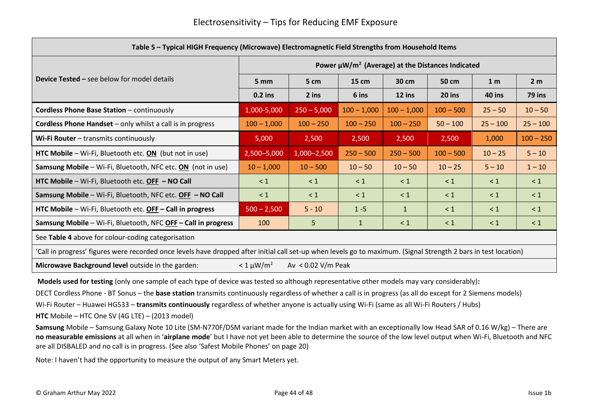| Table 5 - Typical HIGH Frequency (Microwave) Electromagnetic Field Strengths from Household Items |                                                                                                                                                                  |                      |                 |               |             |                |                |  |  |
|---------------------------------------------------------------------------------------------------|------------------------------------------------------------------------------------------------------------------------------------------------------------------|----------------------|-----------------|---------------|-------------|----------------|----------------|--|--|
| Power $\mu W/m^2$ (Average) at the Distances Indicated                                            |                                                                                                                                                                  |                      |                 |               |             |                |                |  |  |
| <b>Device Tested – see below for model details</b>                                                | 5 mm                                                                                                                                                             | 5 cm                 | $15 \text{ cm}$ | 30 cm         | 50 cm       | 1 <sub>m</sub> | 2 <sub>m</sub> |  |  |
|                                                                                                   | $0.2$ ins                                                                                                                                                        | 2 ins                | 6 ins           | 12 ins        | 20 ins      | <b>40 ins</b>  | 79 ins         |  |  |
| <b>Cordless Phone Base Station - continuously</b>                                                 | 1,000-5,000                                                                                                                                                      | $250 - 5,000$        | $100 - 1,000$   | $100 - 1,000$ | $100 - 500$ | $25 - 50$      | $10 - 50$      |  |  |
| <b>Cordless Phone Handset</b> – only whilst a call is in progress                                 | $100 - 1,000$                                                                                                                                                    | $100 - 250$          | $100 - 250$     | $100 - 250$   | $50 - 100$  | $25 - 100$     | $25 - 100$     |  |  |
| Wi-Fi Router - transmits continuously                                                             | 5,000                                                                                                                                                            | 2,500                | 2,500           | 2,500         | 2,500       | 1,000          | $100 - 250$    |  |  |
| HTC Mobile – Wi-Fi, Bluetooth etc. $ON$ (but not in use)                                          | 2,500-5,000                                                                                                                                                      | 1,000-2,500          | $250 - 500$     | $250 - 500$   | $100 - 500$ | $10 - 25$      | $5 - 10$       |  |  |
| <b>Samsung Mobile</b> – Wi-Fi, Bluetooth, NFC etc. $ON$ (not in use)                              | $10 - 1,000$                                                                                                                                                     | $10 - 500$           | $10 - 50$       | $10 - 50$     | $10 - 25$   | $5 - 10$       | $1 - 10$       |  |  |
| HTC Mobile - Wi-Fi, Bluetooth etc. OFF - NO Call                                                  | $\leq 1$                                                                                                                                                         | $\leq 1$             | $\leq 1$        | $\leq 1$      | $\leq 1$    | $\leq 1$       | $\leq 1$       |  |  |
| Samsung Mobile - Wi-Fi, Bluetooth, NFC etc. OFF - NO Call                                         | $\leq 1$                                                                                                                                                         | $\leq 1$             | $\leq 1$        | $\leq 1$      | $\leq 1$    | $\leq 1$       | $\leq 1$       |  |  |
| HTC Mobile - Wi-Fi, Bluetooth etc. OFF - Call in progress                                         | $500 - 2,500$                                                                                                                                                    | $5 - 10$             | $1 - 5$         | $\mathbf{1}$  | $\leq 1$    | $\leq 1$       | $\leq 1$       |  |  |
| Samsung Mobile - Wi-Fi, Bluetooth, NFC OFF - Call in progress                                     | 100                                                                                                                                                              | 5                    | $\mathbf{1}$    | $\leq 1$      | $\leq 1$    | $\leq 1$       | $\leq 1$       |  |  |
| See Table 4 above for colour-coding categorisation                                                |                                                                                                                                                                  |                      |                 |               |             |                |                |  |  |
|                                                                                                   | 'Call in progress' figures were recorded once levels have dropped after initial call set-up when levels go to maximum. (Signal Strength 2 bars in test location) |                      |                 |               |             |                |                |  |  |
| Microwave Background level outside in the garden:                                                 | $< 1 \mu W/m^2$                                                                                                                                                  | Av $< 0.02$ V/m Peak |                 |               |             |                |                |  |  |

**Models used for testing** (only one sample of each type of device was tested so although representative other models may vary considerably)**:**

DECT Cordless Phone - BT Sonus – the **base station** transmits continuously regardless of whether a call is in progress (as all do except for 2 Siemens models)

Wi-Fi Router – Huawei HG533 – **transmits continuously** regardless of whether anyone is actually using Wi-Fi (same as all Wi-Fi Routers / Hubs)

**HTC** Mobile – HTC One SV (4G LTE) – (2013 model)

**Samsung** Mobile – Samsung Galaxy Note 10 Lite (SM-N770F/DSM variant made for the Indian market with an exceptionally low Head SAR of 0.16 W/kg) – There are **no measurable emissions** at all when in '**airplane mode**' but I have not yet been able to determine the source of the low level output when Wi-Fi, Bluetooth and NFC are all DISBALED and no call is in progress. (See also 'Safest Mobile Phones' on page 20)

Note: I haven't had the opportunity to measure the output of any Smart Meters yet.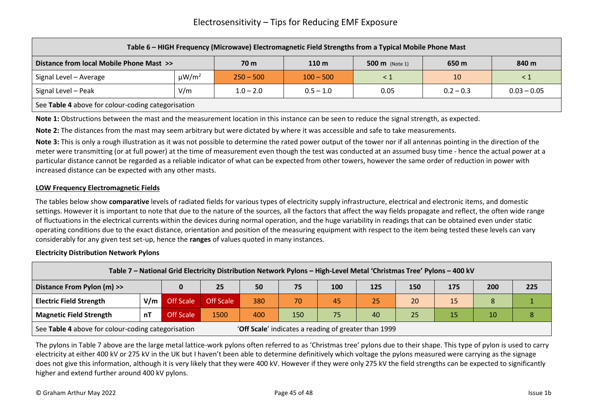|                                                                                                                 | Table 6 - HIGH Frequency (Microwave) Electromagnetic Field Strengths from a Typical Mobile Phone Mast |             |             |          |             |               |  |  |  |  |
|-----------------------------------------------------------------------------------------------------------------|-------------------------------------------------------------------------------------------------------|-------------|-------------|----------|-------------|---------------|--|--|--|--|
| Distance from local Mobile Phone Mast >><br>110 <sub>m</sub><br>650 m<br>840 m<br>70 m<br><b>500 m</b> (Note 1) |                                                                                                       |             |             |          |             |               |  |  |  |  |
| Signal Level - Average                                                                                          | $\mu W/m^2$                                                                                           | $250 - 500$ | $100 - 500$ | $\leq 1$ | 10          | $\leq 1$      |  |  |  |  |
| Signal Level - Peak                                                                                             | V/m                                                                                                   | $1.0 - 2.0$ | $0.5 - 1.0$ | 0.05     | $0.2 - 0.3$ | $0.03 - 0.05$ |  |  |  |  |
| See Table 4 above for colour-coding categorisation                                                              |                                                                                                       |             |             |          |             |               |  |  |  |  |

**Note 1:** Obstructions between the mast and the measurement location in this instance can be seen to reduce the signal strength, as expected.

**Note 2:** The distances from the mast may seem arbitrary but were dictated by where it was accessible and safe to take measurements.

**Note 3:** This is only a rough illustration as it was not possible to determine the rated power output of the tower nor if all antennas pointing in the direction of the meter were transmitting (or at full power) at the time of measurement even though the test was conducted at an assumed busy time - hence the actual power at a particular distance cannot be regarded as a reliable indicator of what can be expected from other towers, however the same order of reduction in power with increased distance can be expected with any other masts.

#### **LOW Frequency Electromagnetic Fields**

The tables below show **comparative** levels of radiated fields for various types of electricity supply infrastructure, electrical and electronic items, and domestic settings. However it is important to note that due to the nature of the sources, all the factors that affect the way fields propagate and reflect, the often wide range of fluctuations in the electrical currents within the devices during normal operation, and the huge variability in readings that can be obtained even under static operating conditions due to the exact distance, orientation and position of the measuring equipment with respect to the item being tested these levels can vary considerably for any given test set-up, hence the **ranges** of values quoted in many instances.

#### **Electricity Distribution Network Pylons**

|                                                    | Table 7 - National Grid Electricity Distribution Network Pylons - High-Level Metal 'Christmas Tree' Pylons - 400 kV |           |                  |     |     |                                                      |     |     |     |     |     |
|----------------------------------------------------|---------------------------------------------------------------------------------------------------------------------|-----------|------------------|-----|-----|------------------------------------------------------|-----|-----|-----|-----|-----|
| Distance From Pylon (m) >>                         |                                                                                                                     |           | 25               | 50  | 75  | 100                                                  | 125 | 150 | 175 | 200 | 225 |
| <b>Electric Field Strength</b>                     | V/m                                                                                                                 | Off Scale | <b>Off Scale</b> | 380 | 70  | 45                                                   | 25  | 20  | 15  |     |     |
| <b>Magnetic Field Strength</b>                     | nT                                                                                                                  | Off Scale | 1500             | 400 | 150 | 75                                                   | 40  | 25  | 15  | 10  |     |
| See Table 4 above for colour-coding categorisation |                                                                                                                     |           |                  |     |     | 'Off Scale' indicates a reading of greater than 1999 |     |     |     |     |     |

The pylons in Table 7 above are the large metal lattice-work pylons often referred to as 'Christmas tree' pylons due to their shape. This type of pylon is used to carry electricity at either 400 kV or 275 kV in the UK but I haven't been able to determine definitively which voltage the pylons measured were carrying as the signage does not give this information, although it is very likely that they were 400 kV. However if they were only 275 kV the field strengths can be expected to significantly higher and extend further around 400 kV pylons.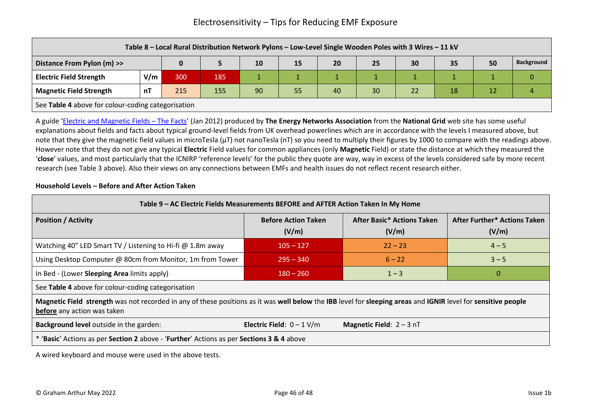|                                                                                           | Table 8 - Local Rural Distribution Network Pylons - Low-Level Single Wooden Poles with 3 Wires - 11 kV |     |     |  |  |  |  |  |  |  |  |
|-------------------------------------------------------------------------------------------|--------------------------------------------------------------------------------------------------------|-----|-----|--|--|--|--|--|--|--|--|
| <b>Background</b><br>35<br>50<br>Distance From Pylon (m) >><br>10<br>20<br>15<br>30<br>25 |                                                                                                        |     |     |  |  |  |  |  |  |  |  |
| <b>Electric Field Strength</b>                                                            | V/m                                                                                                    | 300 | 185 |  |  |  |  |  |  |  |  |
| <b>Magnetic Field Strength</b>                                                            | 90<br>30<br>215<br>155<br>55<br>18<br>12<br>40<br>22<br>n٦                                             |     |     |  |  |  |  |  |  |  |  |
|                                                                                           | See Table 4 above for colour-coding categorisation                                                     |     |     |  |  |  |  |  |  |  |  |

A guide '[Electric and Magnetic Fields](https://www.nationalgrid.com/sites/default/files/documents/13791-Electric%20and%20Magnetic%20Fields%20-%20The%20facts.pdf) – The Facts' (Jan 2012) produced by **The Energy Networks Association** from the **National Grid** web site has some useful explanations about fields and facts about typical ground-level fields from UK overhead powerlines which are in accordance with the levels I measured above, but note that they give the magnetic field values in microTesla (µT) not nanoTesla (nT) so you need to multiply their figures by 1000 to compare with the readings above. However note that they do not give any typical **Electric** Field values for common appliances (only **Magnetic** Field) or state the distance at which they measured the '**close**' values, and most particularly that the ICNIRP 'reference levels' for the public they quote are way, way in excess of the levels considered safe by more recent research (see Table 3 above). Also their views on any connections between EMFs and health issues do not reflect recent research either.

#### **Household Levels – Before and After Action Taken**

| Table 9 - AC Electric Fields Measurements BEFORE and AFTER Action Taken In My Home                                                                                                           |                                     |                                            |                                       |  |  |  |  |  |
|----------------------------------------------------------------------------------------------------------------------------------------------------------------------------------------------|-------------------------------------|--------------------------------------------|---------------------------------------|--|--|--|--|--|
| <b>Position / Activity</b>                                                                                                                                                                   | <b>Before Action Taken</b><br>(V/m) | <b>After Basic* Actions Taken</b><br>(V/m) | After Further* Actions Taken<br>(V/m) |  |  |  |  |  |
| Watching 40" LED Smart TV / Listening to Hi-fi @ 1.8m away                                                                                                                                   | $105 - 127$                         | $22 - 23$                                  | $4 - 5$                               |  |  |  |  |  |
| Using Desktop Computer @ 80cm from Monitor, 1m from Tower                                                                                                                                    | $1295 - 340$                        | $6 - 22$                                   | $3 - 5$                               |  |  |  |  |  |
| In Bed - (Lower Sleeping Area limits apply)                                                                                                                                                  | $180 - 260$                         | $1 - 3$                                    | $\Omega$                              |  |  |  |  |  |
| See Table 4 above for colour-coding categorisation                                                                                                                                           |                                     |                                            |                                       |  |  |  |  |  |
| Magnetic Field strength was not recorded in any of these positions as it was well below the IBB level for sleeping areas and IGNIR level for sensitive people<br>before any action was taken |                                     |                                            |                                       |  |  |  |  |  |
| <b>Background level</b> outside in the garden:                                                                                                                                               | Electric Field: $0 - 1$ V/m         | <b>Magnetic Field:</b> $2 - 3$ nT          |                                       |  |  |  |  |  |
| * 'Basic' Actions as per Section 2 above - 'Further' Actions as per Sections 3 & 4 above                                                                                                     |                                     |                                            |                                       |  |  |  |  |  |

A wired keyboard and mouse were used in the above tests.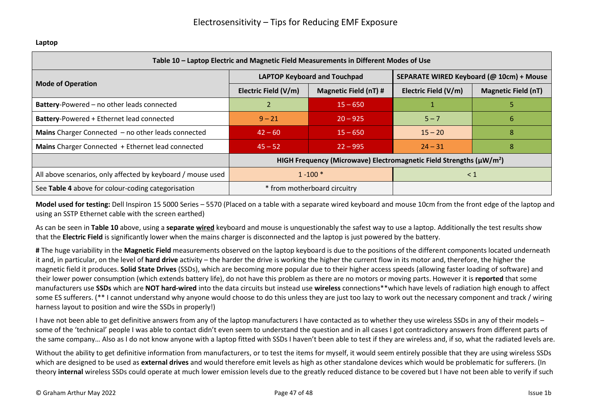| Table 10 - Laptop Electric and Magnetic Field Measurements in Different Modes of Use |                                                      |                                                                                       |                                          |                            |  |  |  |  |  |
|--------------------------------------------------------------------------------------|------------------------------------------------------|---------------------------------------------------------------------------------------|------------------------------------------|----------------------------|--|--|--|--|--|
|                                                                                      |                                                      | <b>LAPTOP Keyboard and Touchpad</b>                                                   | SEPARATE WIRED Keyboard (@ 10cm) + Mouse |                            |  |  |  |  |  |
| <b>Mode of Operation</b>                                                             | Electric Field (V/m)<br><b>Magnetic Field (nT) #</b> |                                                                                       |                                          | <b>Magnetic Field (nT)</b> |  |  |  |  |  |
| Battery-Powered - no other leads connected                                           |                                                      | $15 - 650$                                                                            |                                          |                            |  |  |  |  |  |
| Battery-Powered + Ethernet lead connected                                            | $9 - 21$                                             | $20 - 925$                                                                            | $5 - 7$                                  | b                          |  |  |  |  |  |
| Mains Charger Connected - no other leads connected                                   | $42 - 60$                                            | $15 - 650$                                                                            | $15 - 20$                                | 8                          |  |  |  |  |  |
| Mains Charger Connected + Ethernet lead connected                                    | $45 - 52$                                            | $22 - 995$                                                                            | $24 - 31$                                | 8                          |  |  |  |  |  |
|                                                                                      |                                                      | HIGH Frequency (Microwave) Electromagnetic Field Strengths ( $\mu$ W/m <sup>2</sup> ) |                                          |                            |  |  |  |  |  |
| All above scenarios, only affected by keyboard / mouse used                          | $1 - 100*$<br>$\leq 1$                               |                                                                                       |                                          |                            |  |  |  |  |  |
| See Table 4 above for colour-coding categorisation                                   |                                                      | * from motherboard circuitry                                                          |                                          |                            |  |  |  |  |  |

#### **Model used for testing:** Dell Inspiron 15 5000 Series – 5570 (Placed on a table with a separate wired keyboard and mouse 10cm from the front edge of the laptop and using an SSTP Ethernet cable with the screen earthed)

As can be seen in **Table 10** above, using a **separate wired** keyboard and mouse is unquestionably the safest way to use a laptop. Additionally the test results show that the **Electric Field** is significantly lower when the mains charger is disconnected and the laptop is just powered by the battery.

**#** The huge variability in the **Magnetic Field** measurements observed on the laptop keyboard is due to the positions of the different components located underneath it and, in particular, on the level of **hard drive** activity – the harder the drive is working the higher the current flow in its motor and, therefore, the higher the magnetic field it produces. **Solid State Drives** (SSDs), which are becoming more popular due to their higher access speeds (allowing faster loading of software) and their lower power consumption (which extends battery life), do not have this problem as there are no motors or moving parts. However it is **reported** that some manufacturers use **SSDs** which are **NOT hard-wired** into the data circuits but instead use **wireless** connections\*\*which have levels of radiation high enough to affect some ES sufferers. (\*\* I cannot understand why anyone would choose to do this unless they are just too lazy to work out the necessary component and track / wiring harness layout to position and wire the SSDs in properly!)

I have not been able to get definitive answers from any of the laptop manufacturers I have contacted as to whether they use wireless SSDs in any of their models – some of the 'technical' people I was able to contact didn't even seem to understand the question and in all cases I got contradictory answers from different parts of the same company… Also as I do not know anyone with a laptop fitted with SSDs I haven't been able to test if they are wireless and, if so, what the radiated levels are.

Without the ability to get definitive information from manufacturers, or to test the items for myself, it would seem entirely possible that they are using wireless SSDs which are designed to be used as **external drives** and would therefore emit levels as high as other standalone devices which would be problematic for sufferers. (In theory **internal** wireless SSDs could operate at much lower emission levels due to the greatly reduced distance to be covered but I have not been able to verify if such